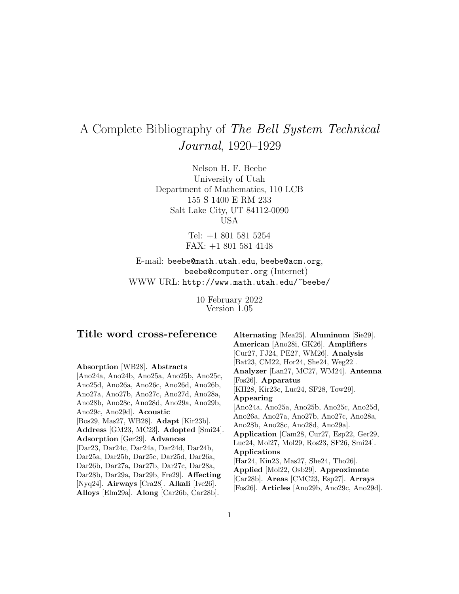# A Complete Bibliography of The Bell System Technical Journal, 1920–1929

Nelson H. F. Beebe University of Utah Department of Mathematics, 110 LCB 155 S 1400 E RM 233 Salt Lake City, UT 84112-0090 USA

> Tel: +1 801 581 5254 FAX: +1 801 581 4148

E-mail: beebe@math.utah.edu, beebe@acm.org, beebe@computer.org (Internet) WWW URL: http://www.math.utah.edu/~beebe/

> 10 February 2022 Version 1.05

# **Title word cross-reference**

# **Absorption** [WB28]. **Abstracts**

[Ano24a, Ano24b, Ano25a, Ano25b, Ano25c, Ano25d, Ano26a, Ano26c, Ano26d, Ano26b, Ano27a, Ano27b, Ano27c, Ano27d, Ano28a, Ano28b, Ano28c, Ano28d, Ano29a, Ano29b, Ano29c, Ano29d]. **Acoustic** [Bos29, Mas27, WB28]. **Adapt** [Kir23b]. **Address** [GM23, MC23]. **Adopted** [Smi24]. **Adsorption** [Ger29]. **Advances** [Dar23, Dar24c, Dar24a, Dar24d, Dar24b, Dar25a, Dar25b, Dar25c, Dar25d, Dar26a, Dar26b, Dar27a, Dar27b, Dar27c, Dar28a, Dar28b, Dar29a, Dar29b, Fre29]. **Affecting** [Nyq24]. **Airways** [Cra28]. **Alkali** [Ive26]. **Alloys** [Elm29a]. **Along** [Car26b, Car28b].

**Alternating** [Mea25]. **Aluminum** [Sie29]. **American** [Ano28i, GK26]. **Amplifiers** [Cur27, FJ24, PE27, WM26]. **Analysis** [Bat23, CM22, Hor24, She24, Weg22]. **Analyzer** [Lan27, MC27, WM24]. **Antenna** [Fos26]. **Apparatus** [KH28, Kir23c, Luc24, SF28, Tow29]. **Appearing** [Ano24a, Ano25a, Ano25b, Ano25c, Ano25d, Ano26a, Ano27a, Ano27b, Ano27c, Ano28a, Ano28b, Ano28c, Ano28d, Ano29a]. **Application** [Cam28, Cur27, Esp22, Ger29, Luc24, Mol27, Mol29, Ros23, SF26, Smi24]. **Applications** [Har24, Kin23, Mas27, She24, Tho26]. **Applied** [Mol22, Osb29]. **Approximate** [Car28b]. **Areas** [CMC23, Esp27]. **Arrays** [Fos26]. **Articles** [Ano29b, Ano29c, Ano29d].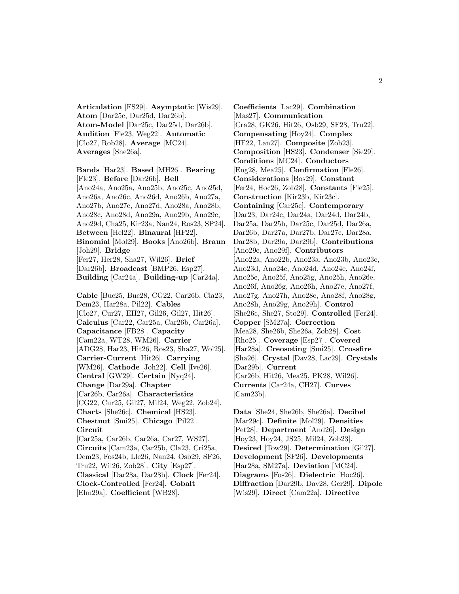**Articulation** [FS29]. **Asymptotic** [Wis29]. **Atom** [Dar25c, Dar25d, Dar26b]. **Atom-Model** [Dar25c, Dar25d, Dar26b]. **Audition** [Fle23, Weg22]. **Automatic** [Clo27, Rob28]. **Average** [MC24]. **Averages** [She26a].

**Bands** [Har23]. **Based** [MH26]. **Bearing** [Fle23]. **Before** [Dar26b]. **Bell** [Ano24a, Ano25a, Ano25b, Ano25c, Ano25d, Ano26a, Ano26c, Ano26d, Ano26b, Ano27a, Ano27b, Ano27c, Ano27d, Ano28a, Ano28b, Ano28c, Ano28d, Ano29a, Ano29b, Ano29c, Ano29d, Cha25, Kir23a, Nan24, Ros23, SP24]. **Between** [Hel22]. **Binaural** [HF22]. **Binomial** [Mol29]. **Books** [Ano26b]. **Braun** [Joh29]. **Bridge** [Fer27, Her28, Sha27, Wil26]. **Brief** [Dar26b]. **Broadcast** [BMP26, Esp27]. **Building** [Car24a]. **Building-up** [Car24a]. **Cable** [Buc25, Buc28, CG22, Car26b, Cla23, Dem23, Har28a, Pil22]. **Cables** [Clo27, Cur27, EH27, Gil26, Gil27, Hit26]. **Calculus** [Car22, Car25a, Car26b, Car26a]. **Capacitance** [FB28]. **Capacity** [Cam22a, WT28, WM26]. **Carrier** [ADG28, Har23, Hit26, Ros23, Sha27, Wol25]. **Carrier-Current** [Hit26]. **Carrying** [WM26]. **Cathode** [Joh22]. **Cell** [Ive26]. **Central** [GW29]. **Certain** [Nyq24]. **Change** [Dar29a]. **Chapter** [Car26b, Car26a]. **Characteristics** [CG22, Cur25, Gil27, Mil24, Weg22, Zob24]. **Charts** [She26c]. **Chemical** [HS23]. **Chestnut** [Smi25]. **Chicago** [Pil22]. **Circuit** [Car25a, Car26b, Car26a, Car27, WS27]. **Circuits** [Cam23a, Car25b, Cla23, Cri25a, Dem23, Fos24b, Lle26, Nan24, Osb29, SF26, Tru22, Wil26, Zob28]. **City** [Esp27]. **Classical** [Dar28a, Dar28b]. **Clock** [Fer24]. **Clock-Controlled** [Fer24]. **Cobalt**

[Elm29a]. **Coefficient** [WB28].

**Coefficients** [Lac29]. **Combination** [Mas27]. **Communication** [Cra28, GK26, Hit26, Osb29, SF28, Tru22]. **Compensating** [Hoy24]. **Complex** [HF22, Lan27]. **Composite** [Zob23]. **Composition** [HS23]. **Condenser** [Sie29]. **Conditions** [MC24]. **Conductors** [Eng28, Mea25]. **Confirmation** [Fle26]. **Considerations** [Bos29]. **Constant** [Fer24, Hoc26, Zob28]. **Constants** [Fle25]. **Construction** [Kir23b, Kir23c]. **Containing** [Car25c]. **Contemporary** [Dar23, Dar24c, Dar24a, Dar24d, Dar24b, Dar25a, Dar25b, Dar25c, Dar25d, Dar26a, Dar26b, Dar27a, Dar27b, Dar27c, Dar28a, Dar28b, Dar29a, Dar29b]. **Contributions** [Ano29e, Ano29f]. **Contributors** [Ano22a, Ano22b, Ano23a, Ano23b, Ano23c, Ano23d, Ano24c, Ano24d, Ano24e, Ano24f, Ano25e, Ano25f, Ano25g, Ano25h, Ano26e, Ano26f, Ano26g, Ano26h, Ano27e, Ano27f, Ano27g, Ano27h, Ano28e, Ano28f, Ano28g, Ano28h, Ano29g, Ano29h]. **Control** [She26c, She27, Sto29]. **Controlled** [Fer24]. **Copper** [SM27a]. **Correction** [Mea28, She26b, She26a, Zob28]. **Cost** [Rho25]. **Coverage** [Esp27]. **Covered** [Har28a]. **Creosoting** [Smi25]. **Crossfire** [Sha26]. **Crystal** [Dav28, Lac29]. **Crystals** [Dar29b]. **Current** [Car26b, Hit26, Mea25, PK28, Wil26]. **Currents** [Car24a, CH27]. **Curves** [Cam23b].

**Data** [She24, She26b, She26a]. **Decibel** [Mar29c]. **Definite** [Mol29]. **Densities** [Pet28]. **Department** [And26]. **Design** [Hoy23, Hoy24, JS25, Mil24, Zob23]. **Desired** [Tow29]. **Determination** [Gil27]. **Development** [SF26]. **Developments** [Har28a, SM27a]. **Deviation** [MC24]. **Diagrams** [Fos26]. **Dielectric** [Hoc26]. **Diffraction** [Dar29b, Dav28, Ger29]. **Dipole** [Wis29]. **Direct** [Cam22a]. **Directive**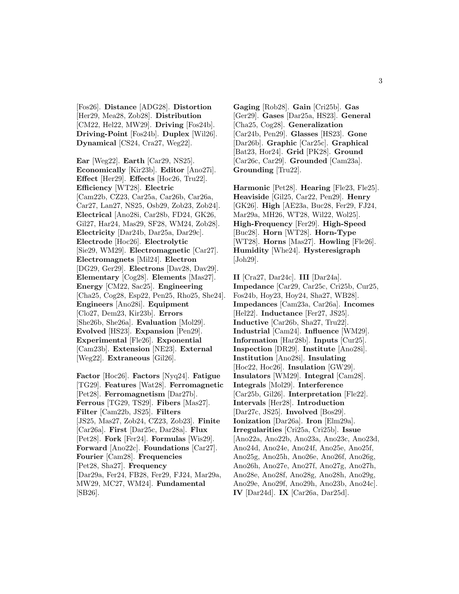[Fos26]. **Distance** [ADG28]. **Distortion** [Her29, Mea28, Zob28]. **Distribution** [CM22, Hel22, MW29]. **Driving** [Fos24b]. **Driving-Point** [Fos24b]. **Duplex** [Wil26]. **Dynamical** [CS24, Cra27, Weg22].

**Ear** [Weg22]. **Earth** [Car29, NS25]. **Economically** [Kir23b]. **Editor** [Ano27i]. **Effect** [Her29]. **Effects** [Hoc26, Tru22]. **Efficiency** [WT28]. **Electric** [Cam22b, CZ23, Car25a, Car26b, Car26a, Car27, Lan27, NS25, Osb29, Zob23, Zob24]. **Electrical** [Ano28i, Car28b, FD24, GK26, Gil27, Har24, Mas29, SF28, WM24, Zob28]. **Electricity** [Dar24b, Dar25a, Dar29c]. **Electrode** [Hoc26]. **Electrolytic** [Sie29, WM29]. **Electromagnetic** [Car27]. **Electromagnets** [Mil24]. **Electron** [DG29, Ger29]. **Electrons** [Dav28, Dav29]. **Elementary** [Cog28]. **Elements** [Mas27]. **Energy** [CM22, Sac25]. **Engineering** [Cha25, Cog28, Esp22, Pen25, Rho25, She24]. **Engineers** [Ano28i]. **Equipment** [Clo27, Dem23, Kir23b]. **Errors** [She26b, She26a]. **Evaluation** [Mol29]. **Evolved** [HS23]. **Expansion** [Pen29]. **Experimental** [Fle26]. **Exponential** [Cam23b]. **Extension** [NE23]. **External** [Weg22]. **Extraneous** [Gil26].

**Factor** [Hoc26]. **Factors** [Nyq24]. **Fatigue** [TG29]. **Features** [Wat28]. **Ferromagnetic** [Pet28]. **Ferromagnetism** [Dar27b]. **Ferrous** [TG29, TS29]. **Fibers** [Mas27]. **Filter** [Cam22b, JS25]. **Filters** [JS25, Mas27, Zob24, CZ23, Zob23]. **Finite** [Car26a]. **First** [Dar25c, Dar28a]. **Flux** [Pet28]. **Fork** [Fer24]. **Formulas** [Wis29]. **Forward** [Ano22c]. **Foundations** [Car27]. **Fourier** [Cam28]. **Frequencies** [Pet28, Sha27]. **Frequency** [Dar29a, Fer24, FB28, Fer29, FJ24, Mar29a, MW29, MC27, WM24]. **Fundamental** [SB26].

**Gaging** [Rob28]. **Gain** [Cri25b]. **Gas** [Ger29]. **Gases** [Dar25a, HS23]. **General** [Cha25, Cog28]. **Generalization** [Car24b, Pen29]. **Glasses** [HS23]. **Gone** [Dar26b]. **Graphic** [Car25c]. **Graphical** [Bat23, Hor24]. **Grid** [PK28]. **Ground** [Car26c, Car29]. **Grounded** [Cam23a]. **Grounding** [Tru22].

**Harmonic** [Pet28]. **Hearing** [Fle23, Fle25]. **Heaviside** [Gil25, Car22, Pen29]. **Henry** [GK26]. **High** [AE23a, Buc28, Fer29, FJ24, Mar29a, MH26, WT28, Wil22, Wol25]. **High-Frequency** [Fer29]. **High-Speed** [Buc28]. **Horn** [WT28]. **Horn-Type** [WT28]. **Horns** [Mas27]. **Howling** [Fle26]. **Humidity** [Whe24]. **Hysteresigraph** [Joh29].

**II** [Cra27, Dar24c]. **III** [Dar24a]. **Impedance** [Car29, Car25c, Cri25b, Cur25, Fos24b, Hoy23, Hoy24, Sha27, WB28]. **Impedances** [Cam23a, Car26a]. **Incomes** [Hel22]. **Inductance** [Fer27, JS25]. **Inductive** [Car26b, Sha27, Tru22]. **Industrial** [Cam24]. **Influence** [WM29]. **Information** [Har28b]. **Inputs** [Cur25]. **Inspection** [DR29]. **Institute** [Ano28i]. **Institution** [Ano28i]. **Insulating** [Hoc22, Hoc26]. **Insulation** [GW29]. **Insulators** [WM29]. **Integral** [Cam28]. **Integrals** [Mol29]. **Interference** [Car25b, Gil26]. **Interpretation** [Fle22]. **Intervals** [Her28]. **Introduction** [Dar27c, JS25]. **Involved** [Bos29]. **Ionization** [Dar26a]. **Iron** [Elm29a]. **Irregularities** [Cri25a, Cri25b]. **Issue** [Ano22a, Ano22b, Ano23a, Ano23c, Ano23d, Ano24d, Ano24e, Ano24f, Ano25e, Ano25f, Ano25g, Ano25h, Ano26e, Ano26f, Ano26g, Ano26h, Ano27e, Ano27f, Ano27g, Ano27h, Ano28e, Ano28f, Ano28g, Ano28h, Ano29g, Ano29e, Ano29f, Ano29h, Ano23b, Ano24c]. **IV** [Dar24d]. **IX** [Car26a, Dar25d].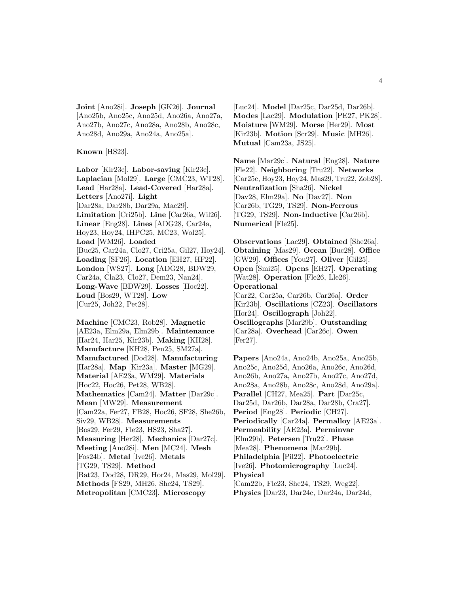**Joint** [Ano28i]. **Joseph** [GK26]. **Journal** [Ano25b, Ano25c, Ano25d, Ano26a, Ano27a, Ano27b, Ano27c, Ano28a, Ano28b, Ano28c, Ano28d, Ano29a, Ano24a, Ano25a].

**Known** [HS23].

**Labor** [Kir23c]. **Labor-saving** [Kir23c]. **Laplacian** [Mol29]. **Large** [CMC23, WT28]. **Lead** [Har28a]. **Lead-Covered** [Har28a]. **Letters** [Ano27i]. **Light** [Dar28a, Dar28b, Dar29a, Mac29]. **Limitation** [Cri25b]. **Line** [Car26a, Wil26]. **Linear** [Eng28]. **Lines** [ADG28, Car24a, Hoy23, Hoy24, IHPC25, MC23, Wol25]. **Load** [WM26]. **Loaded** [Buc25, Car24a, Clo27, Cri25a, Gil27, Hoy24]. **Loading** [SF26]. **Location** [EH27, HF22]. **London** [WS27]. **Long** [ADG28, BDW29, Car24a, Cla23, Clo27, Dem23, Nan24]. **Long-Wave** [BDW29]. **Losses** [Hoc22]. **Loud** [Bos29, WT28]. **Low** [Cur25, Joh22, Pet28].

**Machine** [CMC23, Rob28]. **Magnetic** [AE23a, Elm29a, Elm29b]. **Maintenance** [Har24, Har25, Kir23b]. **Making** [KH28]. **Manufacture** [KH28, Pen25, SM27a]. **Manufactured** [Dod28]. **Manufacturing** [Har28a]. **Map** [Kir23a]. **Master** [MG29]. **Material** [AE23a, WM29]. **Materials** [Hoc22, Hoc26, Pet28, WB28]. **Mathematics** [Cam24]. **Matter** [Dar29c]. **Mean** [MW29]. **Measurement** [Cam22a, Fer27, FB28, Hoc26, SF28, She26b, Siv29, WB28]. **Measurements** [Bos29, Fer29, Fle23, HS23, Sha27]. **Measuring** [Her28]. **Mechanics** [Dar27c]. **Meeting** [Ano28i]. **Men** [MC24]. **Mesh** [Fos24b]. **Metal** [Ive26]. **Metals** [TG29, TS29]. **Method** [Bat23, Dod28, DR29, Hor24, Mas29, Mol29]. **Methods** [FS29, MH26, She24, TS29]. **Metropolitan** [CMC23]. **Microscopy**

[Luc24]. **Model** [Dar25c, Dar25d, Dar26b]. **Modes** [Lac29]. **Modulation** [PE27, PK28]. **Moisture** [WM29]. **Morse** [Her29]. **Most** [Kir23b]. **Motion** [Scr29]. **Music** [MH26]. **Mutual** [Cam23a, JS25].

**Name** [Mar29c]. **Natural** [Eng28]. **Nature** [Fle22]. **Neighboring** [Tru22]. **Networks** [Car25c, Hoy23, Hoy24, Mas29, Tru22, Zob28]. **Neutralization** [Sha26]. **Nickel** [Dav28, Elm29a]. **No** [Dav27]. **Non** [Car26b, TG29, TS29]. **Non-Ferrous** [TG29, TS29]. **Non-Inductive** [Car26b]. **Numerical** [Fle25].

**Observations** [Lac29]. **Obtained** [She26a]. **Obtaining** [Mas29]. **Ocean** [Buc28]. **Office** [GW29]. **Offices** [You27]. **Oliver** [Gil25]. **Open** [Smi25]. **Opens** [EH27]. **Operating** [Wat28]. **Operation** [Fle26, Lle26]. **Operational** [Car22, Car25a, Car26b, Car26a]. **Order** [Kir23b]. **Oscillations** [CZ23]. **Oscillators** [Hor24]. **Oscillograph** [Joh22]. **Oscillographs** [Mar29b]. **Outstanding** [Car28a]. **Overhead** [Car26c]. **Owen**

[Fer27].

**Papers** [Ano24a, Ano24b, Ano25a, Ano25b, Ano25c, Ano25d, Ano26a, Ano26c, Ano26d, Ano26b, Ano27a, Ano27b, Ano27c, Ano27d, Ano28a, Ano28b, Ano28c, Ano28d, Ano29a]. **Parallel** [CH27, Mea25]. **Part** [Dar25c, Dar25d, Dar26b, Dar28a, Dar28b, Cra27]. **Period** [Eng28]. **Periodic** [CH27]. **Periodically** [Car24a]. **Permalloy** [AE23a]. **Permeability** [AE23a]. **Perminvar** [Elm29b]. **Petersen** [Tru22]. **Phase** [Mea28]. **Phenomena** [Mar29b]. **Philadelphia** [Pil22]. **Photoelectric** [Ive26]. **Photomicrography** [Luc24]. **Physical** [Cam22b, Fle23, She24, TS29, Weg22]. **Physics** [Dar23, Dar24c, Dar24a, Dar24d,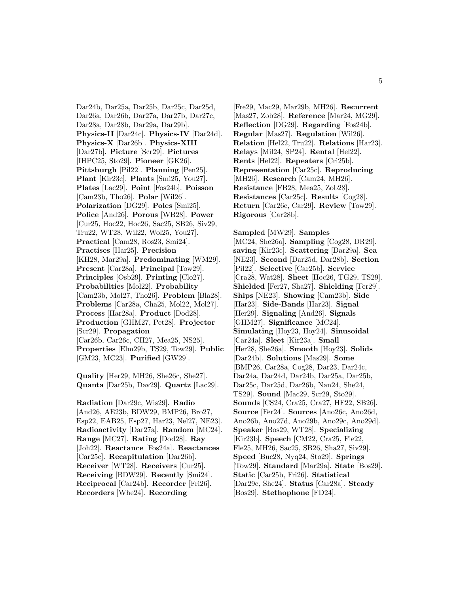Dar24b, Dar25a, Dar25b, Dar25c, Dar25d, Dar26a, Dar26b, Dar27a, Dar27b, Dar27c, Dar28a, Dar28b, Dar29a, Dar29b]. **Physics-II** [Dar24c]. **Physics-IV** [Dar24d]. **Physics-X** [Dar26b]. **Physics-XIII** [Dar27b]. **Picture** [Scr29]. **Pictures** [IHPC25, Sto29]. **Pioneer** [GK26]. **Pittsburgh** [Pil22]. **Planning** [Pen25]. **Plant** [Kir23c]. **Plants** [Smi25, You27]. **Plates** [Lac29]. **Point** [Fos24b]. **Poisson** [Cam23b, Tho26]. **Polar** [Wil26]. **Polarization** [DG29]. **Poles** [Smi25]. **Police** [And26]. **Porous** [WB28]. **Power** [Cur25, Hoc22, Hoc26, Sac25, SB26, Siv29, Tru22, WT28, Wil22, Wol25, You27]. **Practical** [Cam28, Ros23, Smi24]. **Practises** [Har25]. **Precision** [KH28, Mar29a]. **Predominating** [WM29]. **Present** [Car28a]. **Principal** [Tow29]. **Principles** [Osb29]. **Printing** [Clo27]. **Probabilities** [Mol22]. **Probability** [Cam23b, Mol27, Tho26]. **Problem** [Bla28]. **Problems** [Car28a, Cha25, Mol22, Mol27]. **Process** [Har28a]. **Product** [Dod28]. **Production** [GHM27, Pet28]. **Projector** [Scr29]. **Propagation** [Car26b, Car26c, CH27, Mea25, NS25]. **Properties** [Elm29b, TS29, Tow29]. **Public** [GM23, MC23]. **Purified** [GW29].

**Quality** [Her29, MH26, She26c, She27]. **Quanta** [Dar25b, Dav29]. **Quartz** [Lac29].

**Radiation** [Dar29c, Wis29]. **Radio** [And26, AE23b, BDW29, BMP26, Bro27, Esp22, EAB25, Esp27, Har23, Nel27, NE23]. **Radioactivity** [Dar27a]. **Random** [MC24]. **Range** [MC27]. **Rating** [Dod28]. **Ray** [Joh22]. **Reactance** [Fos24a]. **Reactances** [Car25c]. **Recapitulation** [Dar26b]. **Receiver** [WT28]. **Receivers** [Cur25]. **Receiving** [BDW29]. **Recently** [Smi24]. **Reciprocal** [Car24b]. **Recorder** [Fri26]. **Recorders** [Whe24]. **Recording**

[Fre29, Mac29, Mar29b, MH26]. **Recurrent** [Mas27, Zob28]. **Reference** [Mar24, MG29]. **Reflection** [DG29]. **Regarding** [Fos24b]. **Regular** [Mas27]. **Regulation** [Wil26]. **Relation** [Hel22, Tru22]. **Relations** [Har23]. **Relays** [Mil24, SP24]. **Rental** [Hel22]. **Rents** [Hel22]. **Repeaters** [Cri25b]. **Representation** [Car25c]. **Reproducing** [MH26]. **Research** [Cam24, MH26]. **Resistance** [FB28, Mea25, Zob28]. **Resistances** [Car25c]. **Results** [Cog28]. **Return** [Car26c, Car29]. **Review** [Tow29]. **Rigorous** [Car28b].

**Sampled** [MW29]. **Samples** [MC24, She26a]. **Sampling** [Cog28, DR29]. **saving** [Kir23c]. **Scattering** [Dar29a]. **Sea** [NE23]. **Second** [Dar25d, Dar28b]. **Section** [Pil22]. **Selective** [Car25b]. **Service** [Cra28, Wat28]. **Sheet** [Hoc26, TG29, TS29]. **Shielded** [Fer27, Sha27]. **Shielding** [Fer29]. **Ships** [NE23]. **Showing** [Cam23b]. **Side** [Har23]. **Side-Bands** [Har23]. **Signal** [Her29]. **Signaling** [And26]. **Signals** [GHM27]. **Significance** [MC24]. **Simulating** [Hoy23, Hoy24]. **Sinusoidal** [Car24a]. **Sleet** [Kir23a]. **Small** [Her28, She26a]. **Smooth** [Hoy23]. **Solids** [Dar24b]. **Solutions** [Mas29]. **Some** [BMP26, Car28a, Cog28, Dar23, Dar24c, Dar24a, Dar24d, Dar24b, Dar25a, Dar25b, Dar25c, Dar25d, Dar26b, Nan24, She24, TS29]. **Sound** [Mac29, Scr29, Sto29]. **Sounds** [CS24, Cra25, Cra27, HF22, SB26]. **Source** [Fer24]. **Sources** [Ano26c, Ano26d, Ano26b, Ano27d, Ano29b, Ano29c, Ano29d]. **Speaker** [Bos29, WT28]. **Specializing** [Kir23b]. **Speech** [CM22, Cra25, Fle22, Fle25, MH26, Sac25, SB26, Sha27, Siv29]. **Speed** [Buc28, Nyq24, Sto29]. **Springs** [Tow29]. **Standard** [Mar29a]. **State** [Bos29]. **Static** [Car25b, Fri26]. **Statistical** [Dar29c, She24]. **Status** [Car28a]. **Steady** [Bos29]. **Stethophone** [FD24].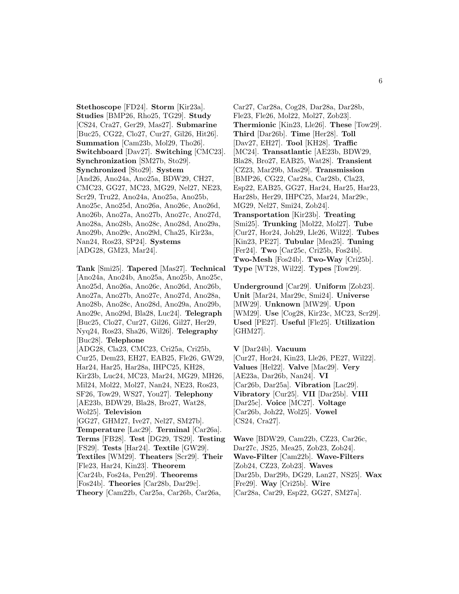**Stethoscope** [FD24]. **Storm** [Kir23a]. **Studies** [BMP26, Rho25, TG29]. **Study** [CS24, Cra27, Ger29, Mas27]. **Submarine** [Buc25, CG22, Clo27, Cur27, Gil26, Hit26]. **Summation** [Cam23b, Mol29, Tho26]. **Switchboard** [Dav27]. **Switching** [CMC23]. **Synchronization** [SM27b, Sto29]. **Synchronized** [Sto29]. **System** [And26, Ano24a, Ano25a, BDW29, CH27, CMC23, GG27, MC23, MG29, Nel27, NE23, Scr29, Tru22, Ano24a, Ano25a, Ano25b, Ano25c, Ano25d, Ano26a, Ano26c, Ano26d, Ano26b, Ano27a, Ano27b, Ano27c, Ano27d, Ano28a, Ano28b, Ano28c, Ano28d, Ano29a, Ano29b, Ano29c, Ano29d, Cha25, Kir23a, Nan24, Ros23, SP24]. **Systems** [ADG28, GM23, Mar24].

**Tank** [Smi25]. **Tapered** [Mas27]. **Technical** [Ano24a, Ano24b, Ano25a, Ano25b, Ano25c, Ano25d, Ano26a, Ano26c, Ano26d, Ano26b, Ano27a, Ano27b, Ano27c, Ano27d, Ano28a, Ano28b, Ano28c, Ano28d, Ano29a, Ano29b, Ano29c, Ano29d, Bla28, Luc24]. **Telegraph** [Buc25, Clo27, Cur27, Gil26, Gil27, Her29, Nyq24, Ros23, Sha26, Wil26]. **Telegraphy** [Buc28]. **Telephone** [ADG28, Cla23, CMC23, Cri25a, Cri25b, Cur25, Dem23, EH27, EAB25, Fle26, GW29, Har24, Har25, Har28a, IHPC25, KH28, Kir23b, Luc24, MC23, Mar24, MG29, MH26, Mil24, Mol22, Mol27, Nan24, NE23, Ros23, SF26, Tow29, WS27, You27]. **Telephony** [AE23b, BDW29, Bla28, Bro27, Wat28, Wol25]. **Television** [GG27, GHM27, Ive27, Nel27, SM27b]. **Temperature** [Lac29]. **Terminal** [Car26a]. **Terms** [FB28]. **Test** [DG29, TS29]. **Testing** [FS29]. **Tests** [Har24]. **Textile** [GW29]. **Textiles** [WM29]. **Theaters** [Scr29]. **Their** [Fle23, Har24, Kin23]. **Theorem** [Car24b, Fos24a, Pen29]. **Theorems** [Fos24b]. **Theories** [Car28b, Dar29c]. **Theory** [Cam22b, Car25a, Car26b, Car26a,

Car27, Car28a, Cog28, Dar28a, Dar28b, Fle23, Fle26, Mol22, Mol27, Zob23]. **Thermionic** [Kin23, Lle26]. **These** [Tow29]. **Third** [Dar26b]. **Time** [Her28]. **Toll** [Dav27, EH27]. **Tool** [KH28]. **Traffic** [MC24]. **Transatlantic** [AE23b, BDW29, Bla28, Bro27, EAB25, Wat28]. **Transient** [CZ23, Mar29b, Mas29]. **Transmission** [BMP26, CG22, Car28a, Car28b, Cla23, Esp22, EAB25, GG27, Har24, Har25, Har23, Har28b, Her29, IHPC25, Mar24, Mar29c, MG29, Nel27, Smi24, Zob24]. **Transportation** [Kir23b]. **Treating** [Smi25]. **Trunking** [Mol22, Mol27]. **Tube** [Cur27, Hor24, Joh29, Lle26, Wil22]. **Tubes** [Kin23, PE27]. **Tubular** [Mea25]. **Tuning** [Fer24]. **Two** [Car25c, Cri25b, Fos24b]. **Two-Mesh** [Fos24b]. **Two-Way** [Cri25b]. **Type** [WT28, Wil22]. **Types** [Tow29].

**Underground** [Car29]. **Uniform** [Zob23]. **Unit** [Mar24, Mar29c, Smi24]. **Universe** [MW29]. **Unknown** [MW29]. **Upon** [WM29]. **Use** [Cog28, Kir23c, MC23, Scr29]. **Used** [PE27]. **Useful** [Fle25]. **Utilization** [GHM27].

**V** [Dar24b]. **Vacuum** [Cur27, Hor24, Kin23, Lle26, PE27, Wil22]. **Values** [Hel22]. **Valve** [Mac29]. **Very** [AE23a, Dar26b, Nan24]. **VI** [Car26b, Dar25a]. **Vibration** [Lac29]. **Vibratory** [Cur25]. **VII** [Dar25b]. **VIII** [Dar25c]. **Voice** [MC27]. **Voltage** [Car26b, Joh22, Wol25]. **Vowel** [CS24, Cra27].

**Wave** [BDW29, Cam22b, CZ23, Car26c, Dar27c, JS25, Mea25, Zob23, Zob24]. **Wave-Filter** [Cam22b]. **Wave-Filters** [Zob24, CZ23, Zob23]. **Waves** [Dar25b, Dar29b, DG29, Lan27, NS25]. **Wax** [Fre29]. **Way** [Cri25b]. **Wire** [Car28a, Car29, Esp22, GG27, SM27a].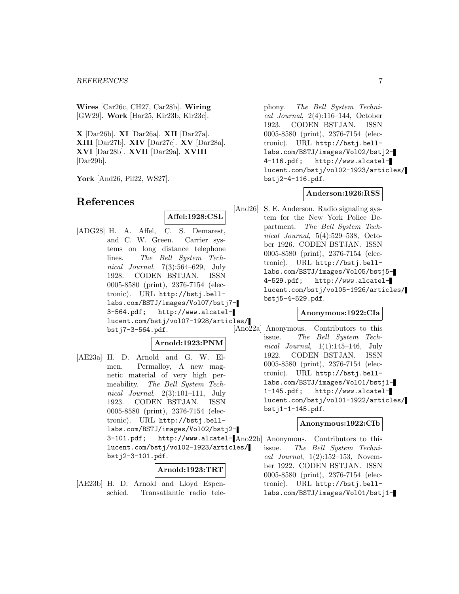#### *REFERENCES* 7

**Wires** [Car26c, CH27, Car28b]. **Wiring** [GW29]. **Work** [Har25, Kir23b, Kir23c].

**X** [Dar26b]. **XI** [Dar26a]. **XII** [Dar27a]. **XIII** [Dar27b]. **XIV** [Dar27c]. **XV** [Dar28a]. **XVI** [Dar28b]. **XVII** [Dar29a]. **XVIII** [Dar29b].

**York** [And26, Pil22, WS27].

# **References**

**Affel:1928:CSL**

[ADG28] H. A. Affel, C. S. Demarest, and C. W. Green. Carrier systems on long distance telephone lines. The Bell System Technical Journal, 7(3):564–629, July 1928. CODEN BSTJAN. ISSN 0005-8580 (print), 2376-7154 (electronic). URL http://bstj.belllabs.com/BSTJ/images/Vol07/bstj7- 3-564.pdf; http://www.alcatellucent.com/bstj/vol07-1928/articles/ bstj7-3-564.pdf.

#### **Arnold:1923:PNM**

[AE23a] H. D. Arnold and G. W. Elmen. Permalloy, A new magnetic material of very high permeability. The Bell System Technical Journal, 2(3):101–111, July 1923. CODEN BSTJAN. ISSN 0005-8580 (print), 2376-7154 (electronic). URL http://bstj.belllabs.com/BSTJ/images/Vol02/bstj2- 3-101.pdf; http://www.alcatel-[Ano22b] Anonymous. Contributors to this lucent.com/bstj/vol02-1923/articles/

bstj2-3-101.pdf.

# **Arnold:1923:TRT**

[AE23b] H. D. Arnold and Lloyd Espenschied. Transatlantic radio telephony. The Bell System Technical Journal, 2(4):116–144, October 1923. CODEN BSTJAN. ISSN 0005-8580 (print), 2376-7154 (electronic). URL http://bstj.belllabs.com/BSTJ/images/Vol02/bstj2- 4-116.pdf; http://www.alcatellucent.com/bstj/vol02-1923/articles/ bstj2-4-116.pdf.

#### **Anderson:1926:RSS**

[And26] S. E. Anderson. Radio signaling system for the New York Police Department. The Bell System Technical Journal, 5(4):529–538, October 1926. CODEN BSTJAN. ISSN 0005-8580 (print), 2376-7154 (electronic). URL http://bstj.belllabs.com/BSTJ/images/Vol05/bstj5- 4-529.pdf; http://www.alcatellucent.com/bstj/vol05-1926/articles/ bstj5-4-529.pdf.

# **Anonymous:1922:CIa**

[Ano22a] Anonymous. Contributors to this issue. The Bell System Technical Journal,  $1(1):145-146$ , July 1922. CODEN BSTJAN. ISSN 0005-8580 (print), 2376-7154 (electronic). URL http://bstj.belllabs.com/BSTJ/images/Vol01/bstj1- 1-145.pdf; http://www.alcatellucent.com/bstj/vol01-1922/articles/ bstj1-1-145.pdf.

#### **Anonymous:1922:CIb**

issue. The Bell System Technical Journal, 1(2):152–153, November 1922. CODEN BSTJAN. ISSN 0005-8580 (print), 2376-7154 (electronic). URL http://bstj.belllabs.com/BSTJ/images/Vol01/bstj1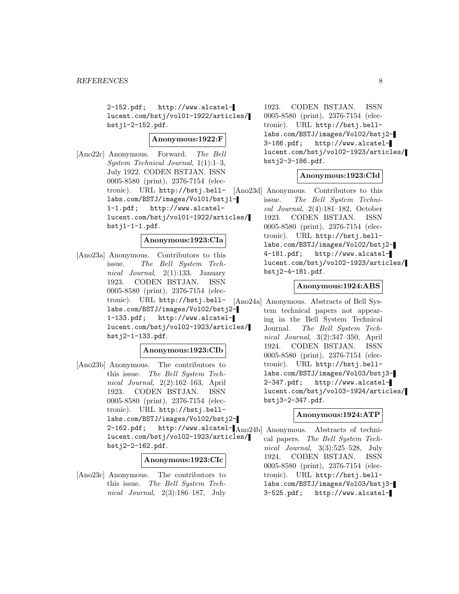2-152.pdf; http://www.alcatellucent.com/bstj/vol01-1922/articles/ bstj1-2-152.pdf.

# **Anonymous:1922:F**

[Ano22c] Anonymous. Forward. The Bell System Technical Journal, 1(1):1–3, July 1922. CODEN BSTJAN. ISSN 0005-8580 (print), 2376-7154 (electronic). URL http://bstj.belllabs.com/BSTJ/images/Vol01/bstj1- 1-1.pdf; http://www.alcatellucent.com/bstj/vol01-1922/articles/  $bstj1-1-1.pdf.$ 

#### **Anonymous:1923:CIa**

[Ano23a] Anonymous. Contributors to this issue. The Bell System Technical Journal, 2(1):133, January 1923. CODEN BSTJAN. ISSN 0005-8580 (print), 2376-7154 (electronic). URL http://bstj.belllabs.com/BSTJ/images/Vol02/bstj2- 1-133.pdf; http://www.alcatellucent.com/bstj/vol02-1923/articles/ bstj2-1-133.pdf.

#### **Anonymous:1923:CIb**

[Ano23b] Anonymous. The contributors to this issue. The Bell System Technical Journal, 2(2):162–163, April 1923. CODEN BSTJAN. ISSN 0005-8580 (print), 2376-7154 (electronic). URL http://bstj.belllabs.com/BSTJ/images/Vol02/bstj2- 2-162.pdf; http://www.alcatel- $[Ano24b]$  Anonymous. Abstracts of technilucent.com/bstj/vol02-1923/articles/ bstj2-2-162.pdf.

#### **Anonymous:1923:CIc**

[Ano23c] Anonymous. The contributors to this issue. The Bell System Technical Journal, 2(3):186–187, July

1923. CODEN BSTJAN. ISSN 0005-8580 (print), 2376-7154 (electronic). URL http://bstj.belllabs.com/BSTJ/images/Vol02/bstj2- 3-186.pdf; http://www.alcatellucent.com/bstj/vol02-1923/articles/ bstj2-3-186.pdf.

# **Anonymous:1923:CId**

[Ano23d] Anonymous. Contributors to this issue. The Bell System Technical Journal, 2(4):181–182, October 1923. CODEN BSTJAN. ISSN 0005-8580 (print), 2376-7154 (electronic). URL http://bstj.belllabs.com/BSTJ/images/Vol02/bstj2- 4-181.pdf; http://www.alcatellucent.com/bstj/vol02-1923/articles/ bstj2-4-181.pdf.

# **Anonymous:1924:ABS**

[Ano24a] Anonymous. Abstracts of Bell System technical papers not appearing in the Bell System Technical Journal. The Bell System Technical Journal, 3(2):347–350, April 1924. CODEN BSTJAN. ISSN 0005-8580 (print), 2376-7154 (electronic). URL http://bstj.belllabs.com/BSTJ/images/Vol03/bstj3- 2-347.pdf; http://www.alcatellucent.com/bstj/vol03-1924/articles/ bstj3-2-347.pdf.

#### **Anonymous:1924:ATP**

cal papers. The Bell System Technical Journal, 3(3):525–528, July 1924. CODEN BSTJAN. ISSN 0005-8580 (print), 2376-7154 (electronic). URL http://bstj.belllabs.com/BSTJ/images/Vol03/bstj3- 3-525.pdf; http://www.alcatel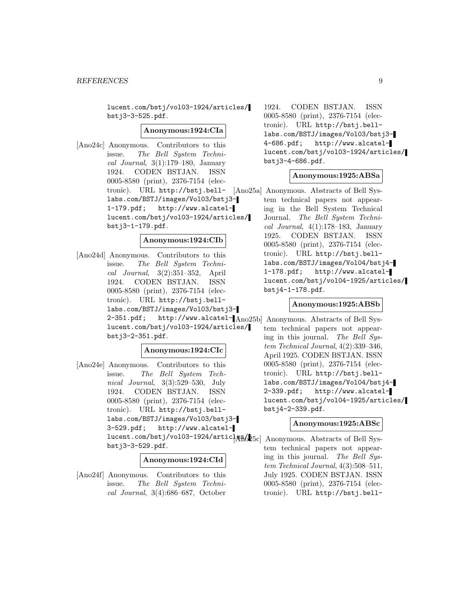lucent.com/bstj/vol03-1924/articles/ bstj3-3-525.pdf.

#### **Anonymous:1924:CIa**

[Ano24c] Anonymous. Contributors to this issue. The Bell System Technical Journal,  $3(1):179-180$ , January 1924. CODEN BSTJAN. ISSN 0005-8580 (print), 2376-7154 (electronic). URL http://bstj.belllabs.com/BSTJ/images/Vol03/bstj3- 1-179.pdf; http://www.alcatellucent.com/bstj/vol03-1924/articles/ bstj3-1-179.pdf.

#### **Anonymous:1924:CIb**

[Ano24d] Anonymous. Contributors to this issue. The Bell System Technical Journal, 3(2):351–352, April 1924. CODEN BSTJAN. ISSN 0005-8580 (print), 2376-7154 (electronic). URL http://bstj.belllabs.com/BSTJ/images/Vol03/bstj3- 2-351.pdf; http://www.alcatel-[Ano25b] Anonymous. Abstracts of Bell Syslucent.com/bstj/vol03-1924/articles/ bstj3-2-351.pdf.

# **Anonymous:1924:CIc**

[Ano24e] Anonymous. Contributors to this issue. The Bell System Technical Journal, 3(3):529–530, July 1924. CODEN BSTJAN. ISSN 0005-8580 (print), 2376-7154 (electronic). URL http://bstj.belllabs.com/BSTJ/images/Vol03/bstj3- 3-529.pdf; http://www.alcatellucent.com/bstj/vol03-1924/artic] $A$ Ró $b$ 5c] Anonymous. Abstracts of Bell Sysbstj3-3-529.pdf.

#### **Anonymous:1924:CId**

[Ano24f] Anonymous. Contributors to this issue. The Bell System Technical Journal, 3(4):686–687, October

1924. CODEN BSTJAN. ISSN 0005-8580 (print), 2376-7154 (electronic). URL http://bstj.belllabs.com/BSTJ/images/Vol03/bstj3- 4-686.pdf; http://www.alcatellucent.com/bstj/vol03-1924/articles/ bstj3-4-686.pdf.

# **Anonymous:1925:ABSa**

[Ano25a] Anonymous. Abstracts of Bell System technical papers not appearing in the Bell System Technical Journal. The Bell System Technical Journal, 4(1):178–183, January 1925. CODEN BSTJAN. ISSN 0005-8580 (print), 2376-7154 (electronic). URL http://bstj.belllabs.com/BSTJ/images/Vol04/bstj4- 1-178.pdf; http://www.alcatellucent.com/bstj/vol04-1925/articles/ bstj4-1-178.pdf.

# **Anonymous:1925:ABSb**

tem technical papers not appearing in this journal. The Bell System Technical Journal, 4(2):339–346, April 1925. CODEN BSTJAN. ISSN 0005-8580 (print), 2376-7154 (electronic). URL http://bstj.belllabs.com/BSTJ/images/Vol04/bstj4- 2-339.pdf; http://www.alcatellucent.com/bstj/vol04-1925/articles/ bstj4-2-339.pdf.

#### **Anonymous:1925:ABSc**

tem technical papers not appearing in this journal. The Bell System Technical Journal, 4(3):508–511, July 1925. CODEN BSTJAN. ISSN 0005-8580 (print), 2376-7154 (electronic). URL http://bstj.bell-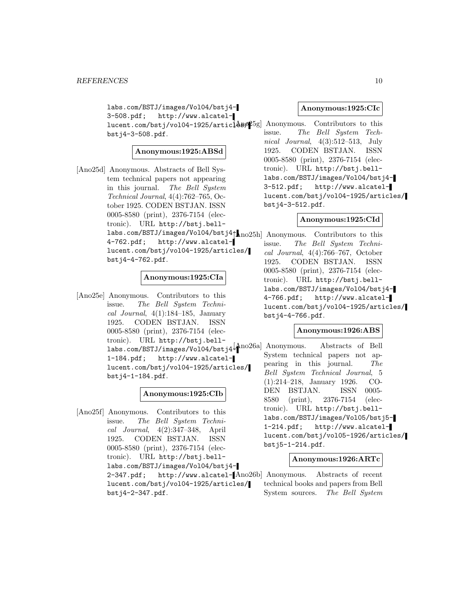labs.com/BSTJ/images/Vol04/bstj4- 3-508.pdf; http://www.alcatellucent.com/bstj/vol04-1925/artic $[\tt{A}\tt{B}\rho25g]$  Anonymous. Contributors to this bstj4-3-508.pdf.

# **Anonymous:1925:ABSd**

[Ano25d] Anonymous. Abstracts of Bell System technical papers not appearing in this journal. The Bell System Technical Journal, 4(4):762–765, October 1925. CODEN BSTJAN. ISSN 0005-8580 (print), 2376-7154 (electronic). URL http://bstj.belllabs.com/BSTJ/images/Vol04/bstj4 $\uparrow$  no25h] Anonymous. Contributors to this 4-762.pdf; http://www.alcatellucent.com/bstj/vol04-1925/articles/ bstj4-4-762.pdf.

# **Anonymous:1925:CIa**

[Ano25e] Anonymous. Contributors to this issue. The Bell System Technical Journal,  $4(1):184-185$ , January 1925. CODEN BSTJAN. ISSN 0005-8580 (print), 2376-7154 (electronic). URL http://bstj.belllabs.com/BSTJ/images/Vol04/bstj4- [Ano26a] Anonymous. Abstracts of Bell 1-184.pdf; http://www.alcatellucent.com/bstj/vol04-1925/articles/ bstj4-1-184.pdf.

# **Anonymous:1925:CIb**

[Ano25f] Anonymous. Contributors to this issue. The Bell System Technical Journal, 4(2):347–348, April 1925. CODEN BSTJAN. ISSN 0005-8580 (print), 2376-7154 (electronic). URL http://bstj.belllabs.com/BSTJ/images/Vol04/bstj4- 2-347.pdf; http://www.alcatel-[Ano26b] Anonymous. Abstracts of recent lucent.com/bstj/vol04-1925/articles/ bstj4-2-347.pdf.

# **Anonymous:1925:CIc**

issue. The Bell System Technical Journal, 4(3):512–513, July 1925. CODEN BSTJAN. ISSN 0005-8580 (print), 2376-7154 (electronic). URL http://bstj.belllabs.com/BSTJ/images/Vol04/bstj4- 3-512.pdf; http://www.alcatellucent.com/bstj/vol04-1925/articles/ bstj4-3-512.pdf.

# **Anonymous:1925:CId**

issue. The Bell System Technical Journal, 4(4):766–767, October 1925. CODEN BSTJAN. ISSN 0005-8580 (print), 2376-7154 (electronic). URL http://bstj.belllabs.com/BSTJ/images/Vol04/bstj4- 4-766.pdf; http://www.alcatellucent.com/bstj/vol04-1925/articles/ bstj4-4-766.pdf.

# **Anonymous:1926:ABS**

System technical papers not appearing in this journal. The Bell System Technical Journal, 5 (1):214–218, January 1926. CO-DEN BSTJAN. ISSN 0005- 8580 (print), 2376-7154 (electronic). URL http://bstj.belllabs.com/BSTJ/images/Vol05/bstj5- 1-214.pdf; http://www.alcatellucent.com/bstj/vol05-1926/articles/ bstj5-1-214.pdf.

# **Anonymous:1926:ARTc**

technical books and papers from Bell System sources. The Bell System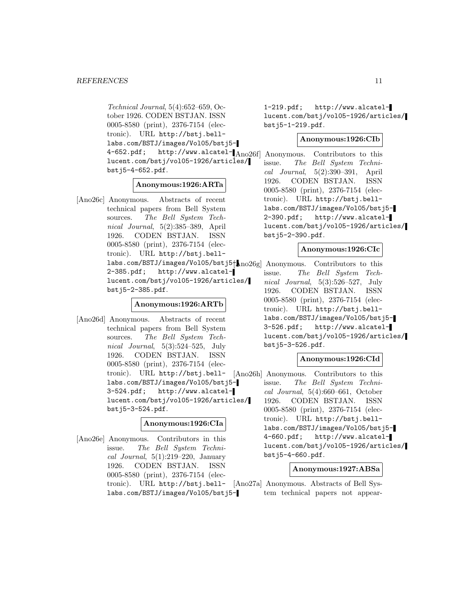Technical Journal, 5(4):652–659, October 1926. CODEN BSTJAN. ISSN 0005-8580 (print), 2376-7154 (electronic). URL http://bstj.belllabs.com/BSTJ/images/Vol05/bstj5- 4-652.pdf; http://www.alcatel- $\begin{bmatrix} \text{Ano26f} \end{bmatrix}$  Anonymous. Contributors to this lucent.com/bstj/vol05-1926/articles/ bstj5-4-652.pdf.

# **Anonymous:1926:ARTa**

[Ano26c] Anonymous. Abstracts of recent technical papers from Bell System sources. The Bell System Technical Journal, 5(2):385–389, April 1926. CODEN BSTJAN. ISSN 0005-8580 (print), 2376-7154 (electronic). URL http://bstj.belllabs.com/BSTJ/images/Vol05/bstj5 $\uparrow$  no26g Anonymous. Contributors to this 2-385.pdf; http://www.alcatellucent.com/bstj/vol05-1926/articles/ bstj5-2-385.pdf.

#### **Anonymous:1926:ARTb**

[Ano26d] Anonymous. Abstracts of recent technical papers from Bell System sources. The Bell System Technical Journal, 5(3):524–525, July 1926. CODEN BSTJAN. ISSN 0005-8580 (print), 2376-7154 (electronic). URL http://bstj.bell-[Ano26h] Anonymous. Contributors to this labs.com/BSTJ/images/Vol05/bstj5- 3-524.pdf; http://www.alcatellucent.com/bstj/vol05-1926/articles/ bstj5-3-524.pdf.

#### **Anonymous:1926:CIa**

[Ano26e] Anonymous. Contributors in this issue. The Bell System Technical Journal,  $5(1):219-220$ , January 1926. CODEN BSTJAN. ISSN 0005-8580 (print), 2376-7154 (eleclabs.com/BSTJ/images/Vol05/bstj51-219.pdf; http://www.alcatellucent.com/bstj/vol05-1926/articles/ bstj5-1-219.pdf.

# **Anonymous:1926:CIb**

issue. The Bell System Technical Journal, 5(2):390–391, April 1926. CODEN BSTJAN. ISSN 0005-8580 (print), 2376-7154 (electronic). URL http://bstj.belllabs.com/BSTJ/images/Vol05/bstj5- 2-390.pdf; http://www.alcatellucent.com/bstj/vol05-1926/articles/ bstj5-2-390.pdf.

# **Anonymous:1926:CIc**

issue. The Bell System Technical Journal, 5(3):526–527, July 1926. CODEN BSTJAN. ISSN 0005-8580 (print), 2376-7154 (electronic). URL http://bstj.belllabs.com/BSTJ/images/Vol05/bstj5- 3-526.pdf; http://www.alcatellucent.com/bstj/vol05-1926/articles/ bstj5-3-526.pdf.

# **Anonymous:1926:CId**

issue. The Bell System Technical Journal, 5(4):660–661, October 1926. CODEN BSTJAN. ISSN 0005-8580 (print), 2376-7154 (electronic). URL http://bstj.belllabs.com/BSTJ/images/Vol05/bstj5- 4-660.pdf; http://www.alcatellucent.com/bstj/vol05-1926/articles/ bstj5-4-660.pdf.

# **Anonymous:1927:ABSa**

tronic). URL http://bstj.bell-[Ano27a] Anonymous. Abstracts of Bell System technical papers not appear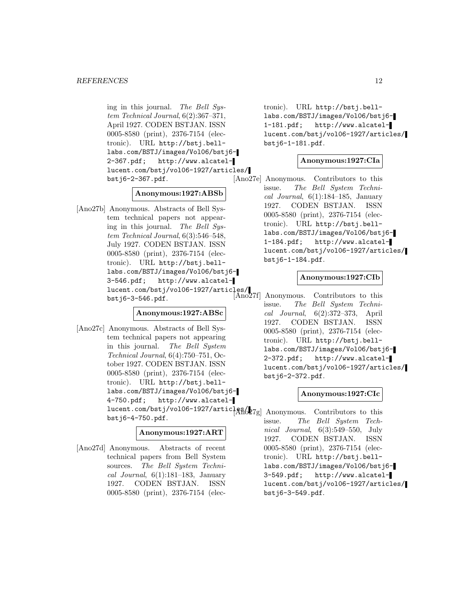ing in this journal. The Bell System Technical Journal, 6(2):367–371, April 1927. CODEN BSTJAN. ISSN 0005-8580 (print), 2376-7154 (electronic). URL http://bstj.belllabs.com/BSTJ/images/Vol06/bstj6- 2-367.pdf; http://www.alcatellucent.com/bstj/vol06-1927/articles/ bstj6-2-367.pdf.

# **Anonymous:1927:ABSb**

[Ano27b] Anonymous. Abstracts of Bell System technical papers not appearing in this journal. The Bell System Technical Journal, 6(3):546–548, July 1927. CODEN BSTJAN. ISSN 0005-8580 (print), 2376-7154 (electronic). URL http://bstj.belllabs.com/BSTJ/images/Vol06/bstj6- 3-546.pdf; http://www.alcatellucent.com/bstj/vol06-1927/articles/ bstj6-3-546.pdf. [Ano27f] Anonymous. Contributors to this

# **Anonymous:1927:ABSc**

[Ano27c] Anonymous. Abstracts of Bell System technical papers not appearing in this journal. The Bell System Technical Journal, 6(4):750–751, October 1927. CODEN BSTJAN. ISSN 0005-8580 (print), 2376-7154 (electronic). URL http://bstj.belllabs.com/BSTJ/images/Vol06/bstj6- 4-750.pdf; http://www.alcatellucent.com/bstj/vol06-1927/articles/<br>
Anonymous. Contributors to this bstj6-4-750.pdf.

# **Anonymous:1927:ART**

[Ano27d] Anonymous. Abstracts of recent technical papers from Bell System sources. The Bell System Technical Journal,  $6(1):181-183$ , January 1927. CODEN BSTJAN. ISSN 0005-8580 (print), 2376-7154 (electronic). URL http://bstj.belllabs.com/BSTJ/images/Vol06/bstj6- 1-181.pdf; http://www.alcatellucent.com/bstj/vol06-1927/articles/ bstj6-1-181.pdf.

# **Anonymous:1927:CIa**

[Ano27e] Anonymous. Contributors to this issue. The Bell System Technical Journal,  $6(1):184-185$ , January 1927. CODEN BSTJAN. ISSN 0005-8580 (print), 2376-7154 (electronic). URL http://bstj.belllabs.com/BSTJ/images/Vol06/bstj6- 1-184.pdf; http://www.alcatellucent.com/bstj/vol06-1927/articles/ bstj6-1-184.pdf.

# **Anonymous:1927:CIb**

issue. The Bell System Technical Journal, 6(2):372–373, April 1927. CODEN BSTJAN. ISSN 0005-8580 (print), 2376-7154 (electronic). URL http://bstj.belllabs.com/BSTJ/images/Vol06/bstj6- 2-372.pdf; http://www.alcatellucent.com/bstj/vol06-1927/articles/ bstj6-2-372.pdf.

# **Anonymous:1927:CIc**

issue. The Bell System Technical Journal, 6(3):549–550, July 1927. CODEN BSTJAN. ISSN 0005-8580 (print), 2376-7154 (electronic). URL http://bstj.belllabs.com/BSTJ/images/Vol06/bstj6- 3-549.pdf; http://www.alcatellucent.com/bstj/vol06-1927/articles/ bstj6-3-549.pdf.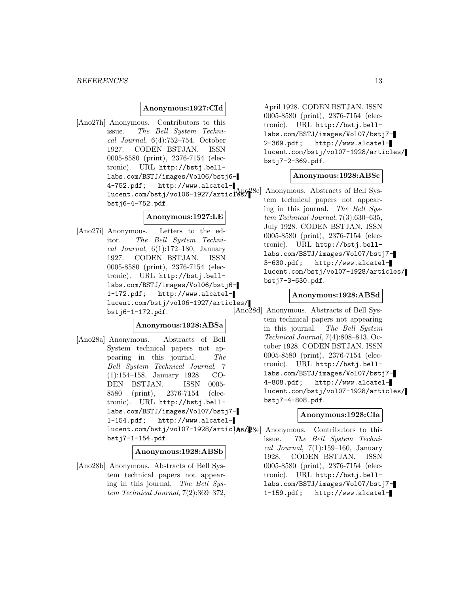# **Anonymous:1927:CId**

[Ano27h] Anonymous. Contributors to this issue. The Bell System Technical Journal, 6(4):752–754, October 1927. CODEN BSTJAN. ISSN 0005-8580 (print), 2376-7154 (electronic). URL http://bstj.belllabs.com/BSTJ/images/Vol06/bstj6- 4-752.pdf; http://www.alcatel-1 Company mercent and contract the company of the sys-<br>lucent.com/bstj/vol06-1927/articles/1800 Anonymous. Abstracts of Bell Sysbstj6-4-752.pdf.

# **Anonymous:1927:LE**

[Ano27i] Anonymous. Letters to the editor. The Bell System Technical Journal,  $6(1):172-180$ , January 1927. CODEN BSTJAN. ISSN 0005-8580 (print), 2376-7154 (electronic). URL http://bstj.belllabs.com/BSTJ/images/Vol06/bstj6- 1-172.pdf; http://www.alcatellucent.com/bstj/vol06-1927/articles/ bstj6-1-172.pdf.

# **Anonymous:1928:ABSa**

[Ano28a] Anonymous. Abstracts of Bell System technical papers not appearing in this journal. The Bell System Technical Journal, 7 (1):154–158, January 1928. CO-DEN BSTJAN. ISSN 0005- 8580 (print), 2376-7154 (electronic). URL http://bstj.belllabs.com/BSTJ/images/Vol07/bstj7- 1-154.pdf; http://www.alcatellucent.com/bstj/vol07-1928/artic1&mo28e] Anonymous. Contributors to this bstj7-1-154.pdf.

#### **Anonymous:1928:ABSb**

[Ano28b] Anonymous. Abstracts of Bell System technical papers not appearing in this journal. The Bell System Technical Journal, 7(2):369–372,

April 1928. CODEN BSTJAN. ISSN 0005-8580 (print), 2376-7154 (electronic). URL http://bstj.belllabs.com/BSTJ/images/Vol07/bstj7- 2-369.pdf; http://www.alcatellucent.com/bstj/vol07-1928/articles/ bstj7-2-369.pdf.

# **Anonymous:1928:ABSc**

tem technical papers not appearing in this journal. The Bell System Technical Journal, 7(3):630–635, July 1928. CODEN BSTJAN. ISSN 0005-8580 (print), 2376-7154 (electronic). URL http://bstj.belllabs.com/BSTJ/images/Vol07/bstj7- 3-630.pdf; http://www.alcatellucent.com/bstj/vol07-1928/articles/ bstj7-3-630.pdf.

#### **Anonymous:1928:ABSd**

[Ano28d] Anonymous. Abstracts of Bell System technical papers not appearing in this journal. The Bell System Technical Journal, 7(4):808–813, October 1928. CODEN BSTJAN. ISSN 0005-8580 (print), 2376-7154 (electronic). URL http://bstj.belllabs.com/BSTJ/images/Vol07/bstj7- 4-808.pdf; http://www.alcatellucent.com/bstj/vol07-1928/articles/ bstj7-4-808.pdf.

#### **Anonymous:1928:CIa**

issue. The Bell System Technical Journal,  $7(1):159-160$ , January 1928. CODEN BSTJAN. ISSN 0005-8580 (print), 2376-7154 (electronic). URL http://bstj.belllabs.com/BSTJ/images/Vol07/bstj7- 1-159.pdf; http://www.alcatel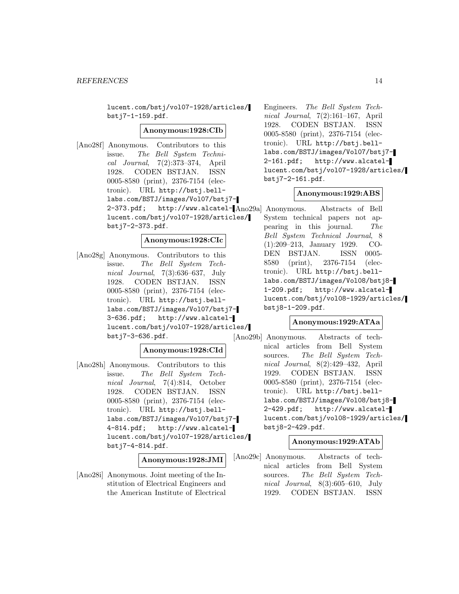lucent.com/bstj/vol07-1928/articles/ bstj7-1-159.pdf.

#### **Anonymous:1928:CIb**

[Ano28f] Anonymous. Contributors to this issue. The Bell System Technical Journal, 7(2):373–374, April 1928. CODEN BSTJAN. ISSN 0005-8580 (print), 2376-7154 (electronic). URL http://bstj.belllabs.com/BSTJ/images/Vol07/bstj7- 2-373.pdf; http://www.alcatel-[Ano29a] Anonymous. Abstracts of Bell lucent.com/bstj/vol07-1928/articles/ bstj7-2-373.pdf.

#### **Anonymous:1928:CIc**

[Ano28g] Anonymous. Contributors to this issue. The Bell System Technical Journal, 7(3):636–637, July 1928. CODEN BSTJAN. ISSN 0005-8580 (print), 2376-7154 (electronic). URL http://bstj.belllabs.com/BSTJ/images/Vol07/bstj7- 3-636.pdf; http://www.alcatellucent.com/bstj/vol07-1928/articles/ bstj7-3-636.pdf.

# **Anonymous:1928:CId**

[Ano28h] Anonymous. Contributors to this issue. The Bell System Technical Journal, 7(4):814, October 1928. CODEN BSTJAN. ISSN 0005-8580 (print), 2376-7154 (electronic). URL http://bstj.belllabs.com/BSTJ/images/Vol07/bstj7- 4-814.pdf; http://www.alcatellucent.com/bstj/vol07-1928/articles/ bstj7-4-814.pdf.

**Anonymous:1928:JMI**

[Ano28i] Anonymous. Joint meeting of the Institution of Electrical Engineers and the American Institute of Electrical

Engineers. The Bell System Technical Journal, 7(2):161–167, April 1928. CODEN BSTJAN. ISSN 0005-8580 (print), 2376-7154 (electronic). URL http://bstj.belllabs.com/BSTJ/images/Vol07/bstj7- 2-161.pdf; http://www.alcatellucent.com/bstj/vol07-1928/articles/ bstj7-2-161.pdf.

#### **Anonymous:1929:ABS**

System technical papers not appearing in this journal. The Bell System Technical Journal, 8 (1):209–213, January 1929. CO-DEN BSTJAN. ISSN 0005- 8580 (print), 2376-7154 (electronic). URL http://bstj.belllabs.com/BSTJ/images/Vol08/bstj8- 1-209.pdf; http://www.alcatellucent.com/bstj/vol08-1929/articles/ bstj8-1-209.pdf.

# **Anonymous:1929:ATAa**

[Ano29b] Anonymous. Abstracts of technical articles from Bell System sources. The Bell System Technical Journal, 8(2):429–432, April 1929. CODEN BSTJAN. ISSN 0005-8580 (print), 2376-7154 (electronic). URL http://bstj.belllabs.com/BSTJ/images/Vol08/bstj8- 2-429.pdf; http://www.alcatellucent.com/bstj/vol08-1929/articles/ bstj8-2-429.pdf.

# **Anonymous:1929:ATAb**

[Ano29c] Anonymous. Abstracts of technical articles from Bell System sources. The Bell System Technical Journal, 8(3):605–610, July 1929. CODEN BSTJAN. ISSN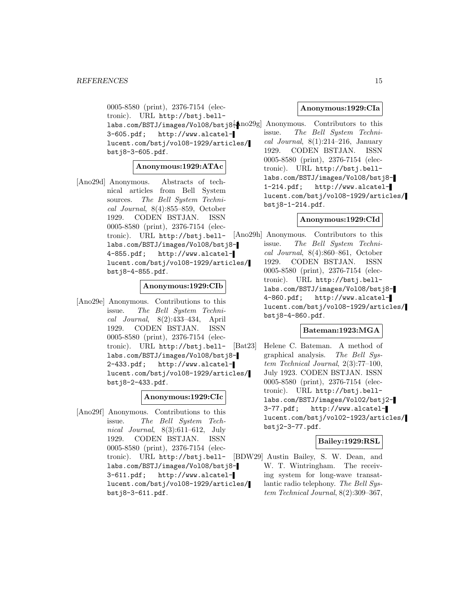0005-8580 (print), 2376-7154 (electronic). URL http://bstj.belllabs.com/BSTJ/images/Vol08/bstj8 $\frac{1}{2}$ Ano $29$ g] Anonymous. Contributors to this 3-605.pdf; http://www.alcatellucent.com/bstj/vol08-1929/articles/ bstj8-3-605.pdf.

#### **Anonymous:1929:ATAc**

[Ano29d] Anonymous. Abstracts of technical articles from Bell System sources. The Bell System Technical Journal, 8(4):855–859, October 1929. CODEN BSTJAN. ISSN 0005-8580 (print), 2376-7154 (electronic). URL http://bstj.belllabs.com/BSTJ/images/Vol08/bstj8- 4-855.pdf; http://www.alcatellucent.com/bstj/vol08-1929/articles/ bstj8-4-855.pdf.

#### **Anonymous:1929:CIb**

[Ano29e] Anonymous. Contributions to this issue. The Bell System Technical Journal, 8(2):433–434, April 1929. CODEN BSTJAN. ISSN 0005-8580 (print), 2376-7154 (electronic). URL http://bstj.belllabs.com/BSTJ/images/Vol08/bstj8- 2-433.pdf; http://www.alcatellucent.com/bstj/vol08-1929/articles/ bstj8-2-433.pdf.

# **Anonymous:1929:CIc**

[Ano29f] Anonymous. Contributions to this issue. The Bell System Technical Journal, 8(3):611–612, July 1929. CODEN BSTJAN. ISSN 0005-8580 (print), 2376-7154 (electronic). URL http://bstj.bell-[BDW29] Austin Bailey, S. W. Dean, and labs.com/BSTJ/images/Vol08/bstj8- 3-611.pdf; http://www.alcatellucent.com/bstj/vol08-1929/articles/ bstj8-3-611.pdf.

# **Anonymous:1929:CIa**

issue. The Bell System Technical Journal,  $8(1):214-216$ , January 1929. CODEN BSTJAN. ISSN 0005-8580 (print), 2376-7154 (electronic). URL http://bstj.belllabs.com/BSTJ/images/Vol08/bstj8- 1-214.pdf; http://www.alcatellucent.com/bstj/vol08-1929/articles/ bstj8-1-214.pdf.

# **Anonymous:1929:CId**

[Ano29h] Anonymous. Contributors to this issue. The Bell System Technical Journal, 8(4):860–861, October 1929. CODEN BSTJAN. ISSN 0005-8580 (print), 2376-7154 (electronic). URL http://bstj.belllabs.com/BSTJ/images/Vol08/bstj8- 4-860.pdf; http://www.alcatellucent.com/bstj/vol08-1929/articles/ bstj8-4-860.pdf.

# **Bateman:1923:MGA**

[Bat23] Helene C. Bateman. A method of graphical analysis. The Bell System Technical Journal, 2(3):77–100, July 1923. CODEN BSTJAN. ISSN 0005-8580 (print), 2376-7154 (electronic). URL http://bstj.belllabs.com/BSTJ/images/Vol02/bstj2- 3-77.pdf; http://www.alcatellucent.com/bstj/vol02-1923/articles/ bstj2-3-77.pdf.

# **Bailey:1929:RSL**

W. T. Wintringham. The receiving system for long-wave transatlantic radio telephony. The Bell System Technical Journal, 8(2):309–367,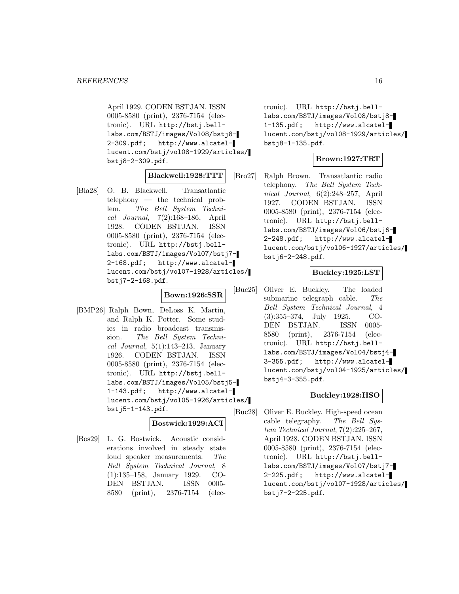April 1929. CODEN BSTJAN. ISSN 0005-8580 (print), 2376-7154 (electronic). URL http://bstj.belllabs.com/BSTJ/images/Vol08/bstj8- 2-309.pdf; http://www.alcatellucent.com/bstj/vol08-1929/articles/ bstj8-2-309.pdf.

# **Blackwell:1928:TTT**

[Bla28] O. B. Blackwell. Transatlantic telephony — the technical problem. The Bell System Technical Journal, 7(2):168–186, April 1928. CODEN BSTJAN. ISSN 0005-8580 (print), 2376-7154 (electronic). URL http://bstj.belllabs.com/BSTJ/images/Vol07/bstj7- 2-168.pdf; http://www.alcatellucent.com/bstj/vol07-1928/articles/ bstj7-2-168.pdf.

**Bown:1926:SSR**

[BMP26] Ralph Bown, DeLoss K. Martin, and Ralph K. Potter. Some studies in radio broadcast transmission. The Bell System Technical Journal,  $5(1):143-213$ , January 1926. CODEN BSTJAN. ISSN 0005-8580 (print), 2376-7154 (electronic). URL http://bstj.belllabs.com/BSTJ/images/Vol05/bstj5- 1-143.pdf; http://www.alcatellucent.com/bstj/vol05-1926/articles/ bstj5-1-143.pdf.

# **Bostwick:1929:ACI**

[Bos29] L. G. Bostwick. Acoustic considerations involved in steady state loud speaker measurements. The Bell System Technical Journal, 8 (1):135–158, January 1929. CO-DEN BSTJAN. ISSN 0005- 8580 (print), 2376-7154 (electronic). URL http://bstj.belllabs.com/BSTJ/images/Vol08/bstj8- 1-135.pdf; http://www.alcatellucent.com/bstj/vol08-1929/articles/ bstj8-1-135.pdf.

# **Brown:1927:TRT**

[Bro27] Ralph Brown. Transatlantic radio telephony. The Bell System Technical Journal, 6(2):248–257, April 1927. CODEN BSTJAN. ISSN 0005-8580 (print), 2376-7154 (electronic). URL http://bstj.belllabs.com/BSTJ/images/Vol06/bstj6- 2-248.pdf; http://www.alcatellucent.com/bstj/vol06-1927/articles/ bstj6-2-248.pdf.

# **Buckley:1925:LST**

[Buc25] Oliver E. Buckley. The loaded submarine telegraph cable. The Bell System Technical Journal, 4 (3):355–374, July 1925. CO-DEN BSTJAN. ISSN 0005- 8580 (print), 2376-7154 (electronic). URL http://bstj.belllabs.com/BSTJ/images/Vol04/bstj4- 3-355.pdf; http://www.alcatellucent.com/bstj/vol04-1925/articles/ bstj4-3-355.pdf.

# **Buckley:1928:HSO**

[Buc28] Oliver E. Buckley. High-speed ocean cable telegraphy. The Bell System Technical Journal, 7(2):225–267, April 1928. CODEN BSTJAN. ISSN 0005-8580 (print), 2376-7154 (electronic). URL http://bstj.belllabs.com/BSTJ/images/Vol07/bstj7- 2-225.pdf; http://www.alcatellucent.com/bstj/vol07-1928/articles/ bstj7-2-225.pdf.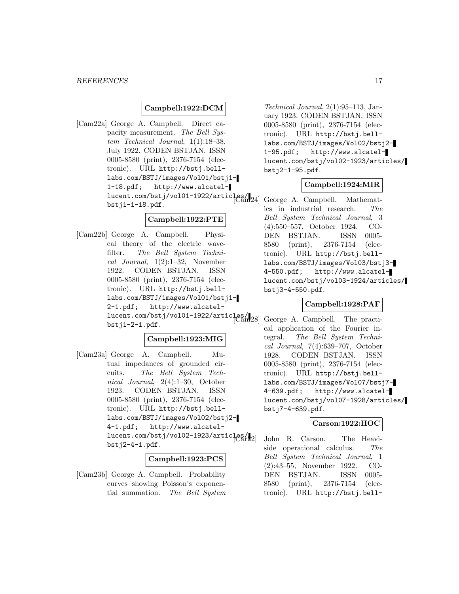#### *REFERENCES* 17

# **Campbell:1922:DCM**

[Cam22a] George A. Campbell. Direct capacity measurement. The Bell System Technical Journal, 1(1):18–38, July 1922. CODEN BSTJAN. ISSN 0005-8580 (print), 2376-7154 (electronic). URL http://bstj.belllabs.com/BSTJ/images/Vol01/bstj1- 1-18.pdf; http://www.alcatel $lucent.com/bstj/vol01-1922/articles/$ bstj1-1-18.pdf.

# **Campbell:1922:PTE**

[Cam22b] George A. Campbell. Physical theory of the electric wavefilter. The Bell System Technical Journal, 1(2):1–32, November 1922. CODEN BSTJAN. ISSN 0005-8580 (print), 2376-7154 (electronic). URL http://bstj.belllabs.com/BSTJ/images/Vol01/bstj1- 2-1.pdf; http://www.alcatel- $\frac{1}{\text{lucent.com/bstj/vol01-1922/artic}}$   $\frac{1}{\text{lca}}$ bstj1-2-1.pdf.

# **Campbell:1923:MIG**

[Cam23a] George A. Campbell. Mutual impedances of grounded circuits. The Bell System Technical Journal, 2(4):1–30, October 1923. CODEN BSTJAN. ISSN 0005-8580 (print), 2376-7154 (electronic). URL http://bstj.belllabs.com/BSTJ/images/Vol02/bstj2- 4-1.pdf; http://www.alcatellucent.com/bstj/vol02-1923/articles/ bstj2-4-1.pdf.

#### **Campbell:1923:PCS**

[Cam23b] George A. Campbell. Probability curves showing Poisson's exponential summation. The Bell System

Technical Journal, 2(1):95–113, January 1923. CODEN BSTJAN. ISSN 0005-8580 (print), 2376-7154 (electronic). URL http://bstj.belllabs.com/BSTJ/images/Vol02/bstj2- 1-95.pdf; http://www.alcatellucent.com/bstj/vol02-1923/articles/ bstj2-1-95.pdf.

# **Campbell:1924:MIR**

George A. Campbell. Mathematics in industrial research. The Bell System Technical Journal, 3 (4):550–557, October 1924. CO-DEN BSTJAN. ISSN 0005- 8580 (print), 2376-7154 (electronic). URL http://bstj.belllabs.com/BSTJ/images/Vol03/bstj3- 4-550.pdf; http://www.alcatellucent.com/bstj/vol03-1924/articles/ bstj3-4-550.pdf.

# **Campbell:1928:PAF**

George A. Campbell. The practical application of the Fourier integral. The Bell System Technical Journal, 7(4):639–707, October 1928. CODEN BSTJAN. ISSN 0005-8580 (print), 2376-7154 (electronic). URL http://bstj.belllabs.com/BSTJ/images/Vol07/bstj7- 4-639.pdf; http://www.alcatellucent.com/bstj/vol07-1928/articles/ bstj7-4-639.pdf.

# **Carson:1922:HOC**

John R. Carson. The Heaviside operational calculus. The Bell System Technical Journal, 1 (2):43–55, November 1922. CO-DEN BSTJAN. ISSN 0005- 8580 (print), 2376-7154 (electronic). URL http://bstj.bell-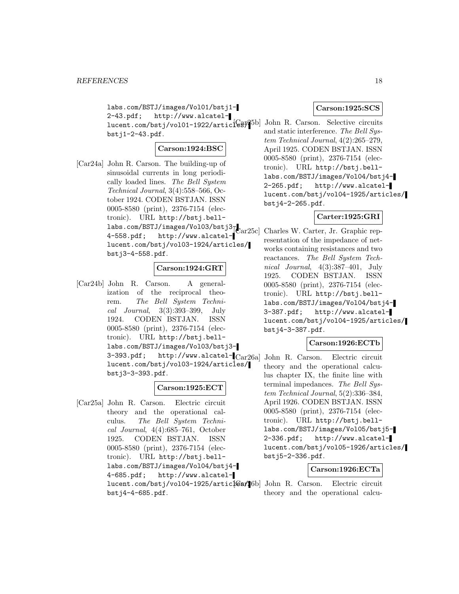labs.com/BSTJ/images/Vol01/bstj1- 2-43.pdf; http://www.alcatellucent.com/bstj/vol01-1922/articl@ay25b] John R. Carson. Selective circuits bstj1-2-43.pdf.

# **Carson:1924:BSC**

[Car24a] John R. Carson. The building-up of sinusoidal currents in long periodically loaded lines. The Bell System Technical Journal, 3(4):558–566, October 1924. CODEN BSTJAN. ISSN 0005-8580 (print), 2376-7154 (electronic). URL http://bstj.belllabs.com/BSTJ/images/Vol03/bstj3<sub>T</sub> 4-558.pdf; http://www.alcatel-[Car25c] Charles W. Carter, Jr. Graphic replucent.com/bstj/vol03-1924/articles/ bstj3-4-558.pdf.

# **Carson:1924:GRT**

[Car24b] John R. Carson. A generalization of the reciprocal theorem. The Bell System Technical Journal, 3(3):393–399, July 1924. CODEN BSTJAN. ISSN 0005-8580 (print), 2376-7154 (electronic). URL http://bstj.belllabs.com/BSTJ/images/Vol03/bstj3- 3-393.pdf; http://www.alcatel-[Car26a] John R. Carson. Electric circuit lucent.com/bstj/vol03-1924/articles/ bstj3-3-393.pdf.

# **Carson:1925:ECT**

[Car25a] John R. Carson. Electric circuit theory and the operational calculus. The Bell System Technical Journal, 4(4):685–761, October 1925. CODEN BSTJAN. ISSN 0005-8580 (print), 2376-7154 (electronic). URL http://bstj.belllabs.com/BSTJ/images/Vol04/bstj4- 4-685.pdf; http://www.alcatellucent.com/bstj/vol04-1925/artic[Gs#[6b] John R. Carson. Electric circuit bstj4-4-685.pdf.

#### **Carson:1925:SCS**

and static interference. The Bell System Technical Journal, 4(2):265–279, April 1925. CODEN BSTJAN. ISSN 0005-8580 (print), 2376-7154 (electronic). URL http://bstj.belllabs.com/BSTJ/images/Vol04/bstj4- 2-265.pdf; http://www.alcatellucent.com/bstj/vol04-1925/articles/ bstj4-2-265.pdf.

# **Carter:1925:GRI**

resentation of the impedance of networks containing resistances and two reactances. The Bell System Technical Journal, 4(3):387–401, July 1925. CODEN BSTJAN. ISSN 0005-8580 (print), 2376-7154 (electronic). URL http://bstj.belllabs.com/BSTJ/images/Vol04/bstj4-<br>3-387.pdf; http://www.alcatelhttp://www.alcatellucent.com/bstj/vol04-1925/articles/ bstj4-3-387.pdf.

# **Carson:1926:ECTb**

theory and the operational calculus chapter IX, the finite line with terminal impedances. The Bell System Technical Journal, 5(2):336–384, April 1926. CODEN BSTJAN. ISSN 0005-8580 (print), 2376-7154 (electronic). URL http://bstj.belllabs.com/BSTJ/images/Vol05/bstj5- 2-336.pdf; http://www.alcatellucent.com/bstj/vol05-1926/articles/ bstj5-2-336.pdf.

# **Carson:1926:ECTa**

theory and the operational calcu-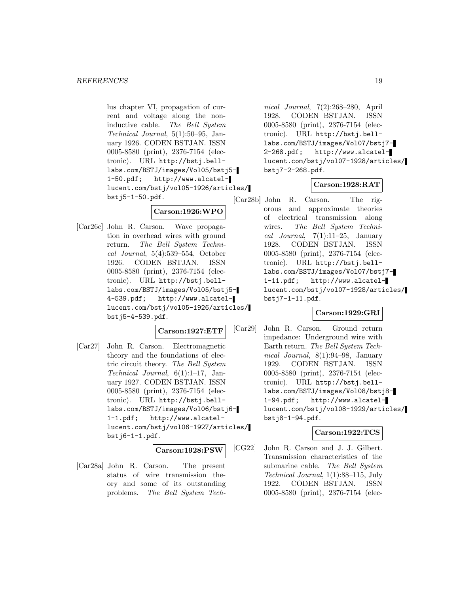lus chapter VI, propagation of current and voltage along the noninductive cable. The Bell System Technical Journal, 5(1):50–95, January 1926. CODEN BSTJAN. ISSN 0005-8580 (print), 2376-7154 (electronic). URL http://bstj.belllabs.com/BSTJ/images/Vol05/bstj5- 1-50.pdf; http://www.alcatellucent.com/bstj/vol05-1926/articles/ bstj5-1-50.pdf.

# **Carson:1926:WPO**

[Car26c] John R. Carson. Wave propagation in overhead wires with ground return. The Bell System Technical Journal, 5(4):539–554, October 1926. CODEN BSTJAN. ISSN 0005-8580 (print), 2376-7154 (electronic). URL http://bstj.belllabs.com/BSTJ/images/Vol05/bstj5- 4-539.pdf; http://www.alcatellucent.com/bstj/vol05-1926/articles/ bstj5-4-539.pdf.

# **Carson:1927:ETF**

[Car27] John R. Carson. Electromagnetic theory and the foundations of electric circuit theory. The Bell System Technical Journal, 6(1):1–17, January 1927. CODEN BSTJAN. ISSN 0005-8580 (print), 2376-7154 (electronic). URL http://bstj.belllabs.com/BSTJ/images/Vol06/bstj6- 1-1.pdf; http://www.alcatellucent.com/bstj/vol06-1927/articles/  $bstj6-1-1.pdf.$ 

# **Carson:1928:PSW**

[Car28a] John R. Carson. The present status of wire transmission theory and some of its outstanding problems. The Bell System Tech-

nical Journal, 7(2):268–280, April 1928. CODEN BSTJAN. ISSN 0005-8580 (print), 2376-7154 (electronic). URL http://bstj.belllabs.com/BSTJ/images/Vol07/bstj7- 2-268.pdf; http://www.alcatellucent.com/bstj/vol07-1928/articles/ bstj7-2-268.pdf.

# **Carson:1928:RAT**

[Car28b] John R. Carson. The rigorous and approximate theories of electrical transmission along wires. The Bell System Technical Journal,  $7(1):11-25$ , January 1928. CODEN BSTJAN. ISSN 0005-8580 (print), 2376-7154 (electronic). URL http://bstj.belllabs.com/BSTJ/images/Vol07/bstj7- 1-11.pdf; http://www.alcatellucent.com/bstj/vol07-1928/articles/ bstj7-1-11.pdf.

# **Carson:1929:GRI**

[Car29] John R. Carson. Ground return impedance: Underground wire with Earth return. The Bell System Technical Journal, 8(1):94–98, January 1929. CODEN BSTJAN. ISSN 0005-8580 (print), 2376-7154 (electronic). URL http://bstj.belllabs.com/BSTJ/images/Vol08/bstj8- 1-94.pdf; http://www.alcatellucent.com/bstj/vol08-1929/articles/ bstj8-1-94.pdf.

# **Carson:1922:TCS**

[CG22] John R. Carson and J. J. Gilbert. Transmission characteristics of the submarine cable. The Bell System Technical Journal, 1(1):88–115, July 1922. CODEN BSTJAN. ISSN 0005-8580 (print), 2376-7154 (elec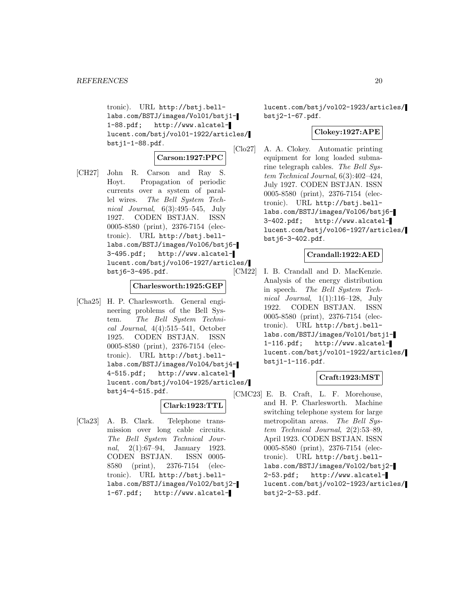tronic). URL http://bstj.belllabs.com/BSTJ/images/Vol01/bstj1- 1-88.pdf; http://www.alcatellucent.com/bstj/vol01-1922/articles/ bstj1-1-88.pdf.

# **Carson:1927:PPC**

[CH27] John R. Carson and Ray S. Hoyt. Propagation of periodic currents over a system of parallel wires. The Bell System Technical Journal, 6(3):495–545, July 1927. CODEN BSTJAN. ISSN 0005-8580 (print), 2376-7154 (electronic). URL http://bstj.belllabs.com/BSTJ/images/Vol06/bstj6- 3-495.pdf; http://www.alcatellucent.com/bstj/vol06-1927/articles/ bstj6-3-495.pdf.

# **Charlesworth:1925:GEP**

[Cha25] H. P. Charlesworth. General engineering problems of the Bell System. The Bell System Technical Journal, 4(4):515–541, October 1925. CODEN BSTJAN. ISSN 0005-8580 (print), 2376-7154 (electronic). URL http://bstj.belllabs.com/BSTJ/images/Vol04/bstj4- 4-515.pdf; http://www.alcatellucent.com/bstj/vol04-1925/articles/ bstj4-4-515.pdf.

# **Clark:1923:TTL**

[Cla23] A. B. Clark. Telephone transmission over long cable circuits. The Bell System Technical Journal, 2(1):67–94, January 1923. CODEN BSTJAN. ISSN 0005- 8580 (print), 2376-7154 (electronic). URL http://bstj.belllabs.com/BSTJ/images/Vol02/bstj2- 1-67.pdf; http://www.alcatellucent.com/bstj/vol02-1923/articles/ bstj2-1-67.pdf.

# **Clokey:1927:APE**

[Clo27] A. A. Clokey. Automatic printing equipment for long loaded submarine telegraph cables. The Bell System Technical Journal, 6(3):402–424, July 1927. CODEN BSTJAN. ISSN 0005-8580 (print), 2376-7154 (electronic). URL http://bstj.belllabs.com/BSTJ/images/Vol06/bstj6- 3-402.pdf; http://www.alcatellucent.com/bstj/vol06-1927/articles/ bstj6-3-402.pdf.

# **Crandall:1922:AED**

[CM22] I. B. Crandall and D. MacKenzie. Analysis of the energy distribution in speech. The Bell System Technical Journal,  $1(1):116-128$ , July 1922. CODEN BSTJAN. ISSN 0005-8580 (print), 2376-7154 (electronic). URL http://bstj.belllabs.com/BSTJ/images/Vol01/bstj1- 1-116.pdf; http://www.alcatellucent.com/bstj/vol01-1922/articles/ bstj1-1-116.pdf.

# **Craft:1923:MST**

[CMC23] E. B. Craft, L. F. Morehouse, and H. P. Charlesworth. Machine switching telephone system for large metropolitan areas. The Bell System Technical Journal, 2(2):53–89, April 1923. CODEN BSTJAN. ISSN 0005-8580 (print), 2376-7154 (electronic). URL http://bstj.belllabs.com/BSTJ/images/Vol02/bstj2- 2-53.pdf; http://www.alcatellucent.com/bstj/vol02-1923/articles/ bstj2-2-53.pdf.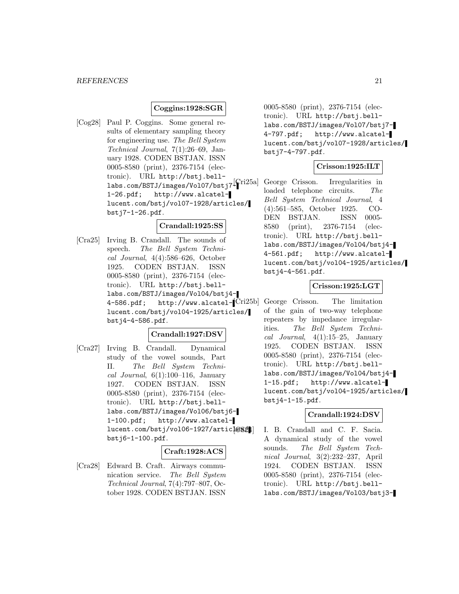# **Coggins:1928:SGR**

[Cog28] Paul P. Coggins. Some general results of elementary sampling theory for engineering use. The Bell System Technical Journal, 7(1):26–69, January 1928. CODEN BSTJAN. ISSN 0005-8580 (print), 2376-7154 (electronic). URL http://bstj.belllabs.com/BSTJ/images/Vol07/bstj7 $\left[\int_{0}^{T}$ ri25a] 1-26.pdf; http://www.alcatellucent.com/bstj/vol07-1928/articles/ bstj7-1-26.pdf.

#### **Crandall:1925:SS**

[Cra25] Irving B. Crandall. The sounds of speech. The Bell System Technical Journal, 4(4):586–626, October 1925. CODEN BSTJAN. ISSN 0005-8580 (print), 2376-7154 (electronic). URL http://bstj.belllabs.com/BSTJ/images/Vol04/bstj4- 4-586.pdf; http://www.alcatel-[Cri25b] George Crisson. The limitation lucent.com/bstj/vol04-1925/articles/ bstj4-4-586.pdf.

# **Crandall:1927:DSV**

[Cra27] Irving B. Crandall. Dynamical study of the vowel sounds, Part II. The Bell System Technical Journal,  $6(1):100-116$ , January 1927. CODEN BSTJAN. ISSN 0005-8580 (print), 2376-7154 (electronic). URL http://bstj.belllabs.com/BSTJ/images/Vol06/bstj6- 1-100.pdf; http://www.alcatellucent.com/bstj/vol06-1927/articles21 bstj6-1-100.pdf.

#### **Craft:1928:ACS**

[Cra28] Edward B. Craft. Airways communication service. The Bell System Technical Journal, 7(4):797–807, October 1928. CODEN BSTJAN. ISSN

0005-8580 (print), 2376-7154 (electronic). URL http://bstj.belllabs.com/BSTJ/images/Vol07/bstj7- 4-797.pdf; http://www.alcatellucent.com/bstj/vol07-1928/articles/ bstj7-4-797.pdf.

# **Crisson:1925:ILT**

George Crisson. Irregularities in loaded telephone circuits. The Bell System Technical Journal, 4 (4):561–585, October 1925. CO-DEN BSTJAN. ISSN 0005- 8580 (print), 2376-7154 (electronic). URL http://bstj.belllabs.com/BSTJ/images/Vol04/bstj4- 4-561.pdf; http://www.alcatellucent.com/bstj/vol04-1925/articles/ bstj4-4-561.pdf.

# **Crisson:1925:LGT**

of the gain of two-way telephone repeaters by impedance irregularities. The Bell System Technical Journal,  $4(1):15-25$ , January 1925. CODEN BSTJAN. ISSN 0005-8580 (print), 2376-7154 (electronic). URL http://bstj.belllabs.com/BSTJ/images/Vol04/bstj4- 1-15.pdf; http://www.alcatellucent.com/bstj/vol04-1925/articles/ bstj4-1-15.pdf.

#### **Crandall:1924:DSV**

I. B. Crandall and C. F. Sacia. A dynamical study of the vowel sounds. The Bell System Technical Journal, 3(2):232–237, April 1924. CODEN BSTJAN. ISSN 0005-8580 (print), 2376-7154 (electronic). URL http://bstj.belllabs.com/BSTJ/images/Vol03/bstj3-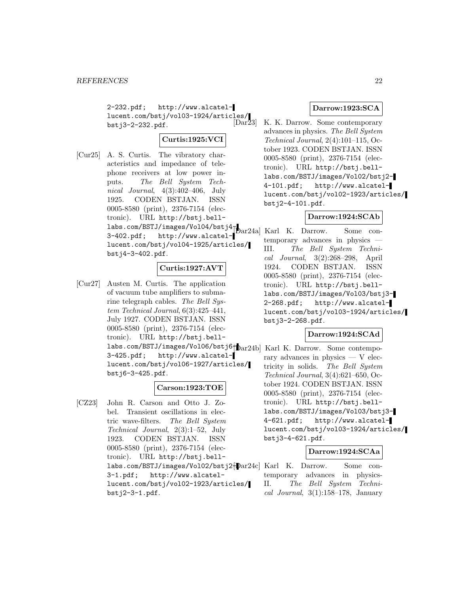2-232.pdf; http://www.alcatellucent.com/bstj/vol03-1924/articles/<br>[Dar23] bstj3-2-232.pdf.

# **Curtis:1925:VCI**

[Cur25] A. S. Curtis. The vibratory characteristics and impedance of telephone receivers at low power inputs. The Bell System Technical Journal, 4(3):402–406, July 1925. CODEN BSTJAN. ISSN 0005-8580 (print), 2376-7154 (electronic). URL http://bstj.belllabs.com/BSTJ/images/Vol04/bstj $4_{\scriptscriptstyle\overline{11}}$ 3-402.pdf; http://www.alcatel-[Dar24a] Karl K. Darrow. Some conlucent.com/bstj/vol04-1925/articles/ bstj4-3-402.pdf.

# **Curtis:1927:AVT**

[Cur27] Austen M. Curtis. The application of vacuum tube amplifiers to submarine telegraph cables. The Bell System Technical Journal, 6(3):425–441, July 1927. CODEN BSTJAN. ISSN 0005-8580 (print), 2376-7154 (electronic). URL http://bstj.belllabs.com/BSTJ/images/Vol06/bstj6f $\texttt{Dar24b}$  Karl K. Darrow. Some contempo-3-425.pdf; http://www.alcatellucent.com/bstj/vol06-1927/articles/ bstj6-3-425.pdf.

# **Carson:1923:TOE**

[CZ23] John R. Carson and Otto J. Zobel. Transient oscillations in electric wave-filters. The Bell System Technical Journal, 2(3):1–52, July 1923. CODEN BSTJAN. ISSN 0005-8580 (print), 2376-7154 (electronic). URL http://bstj.belllabs.com/BSTJ/images/Vol02/bstj2- [Dar24c] Karl K. Darrow. Some con-3-1.pdf; http://www.alcatellucent.com/bstj/vol02-1923/articles/ bstj2-3-1.pdf.

#### **Darrow:1923:SCA**

K. K. Darrow. Some contemporary advances in physics. The Bell System Technical Journal, 2(4):101–115, October 1923. CODEN BSTJAN. ISSN 0005-8580 (print), 2376-7154 (electronic). URL http://bstj.belllabs.com/BSTJ/images/Vol02/bstj2- 4-101.pdf; http://www.alcatellucent.com/bstj/vol02-1923/articles/ bstj2-4-101.pdf.

# **Darrow:1924:SCAb**

temporary advances in physics — III. The Bell System Technical Journal, 3(2):268–298, April 1924. CODEN BSTJAN. ISSN 0005-8580 (print), 2376-7154 (electronic). URL http://bstj.belllabs.com/BSTJ/images/Vol03/bstj3- 2-268.pdf; http://www.alcatellucent.com/bstj/vol03-1924/articles/ bstj3-2-268.pdf.

# **Darrow:1924:SCAd**

rary advances in physics — V electricity in solids. The Bell System Technical Journal, 3(4):621–650, October 1924. CODEN BSTJAN. ISSN 0005-8580 (print), 2376-7154 (electronic). URL http://bstj.belllabs.com/BSTJ/images/Vol03/bstj3- 4-621.pdf; http://www.alcatellucent.com/bstj/vol03-1924/articles/ bstj3-4-621.pdf.

# **Darrow:1924:SCAa**

temporary advances in physics-II. The Bell System Technical Journal,  $3(1):158-178$ , January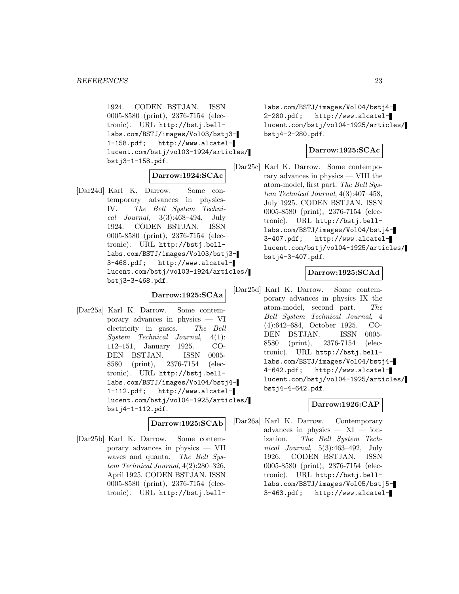1924. CODEN BSTJAN. ISSN 0005-8580 (print), 2376-7154 (electronic). URL http://bstj.belllabs.com/BSTJ/images/Vol03/bstj3- 1-158.pdf; http://www.alcatellucent.com/bstj/vol03-1924/articles/ bstj3-1-158.pdf.

# **Darrow:1924:SCAc**

[Dar24d] Karl K. Darrow. Some contemporary advances in physics-IV. The Bell System Technical Journal, 3(3):468–494, July 1924. CODEN BSTJAN. ISSN 0005-8580 (print), 2376-7154 (electronic). URL http://bstj.belllabs.com/BSTJ/images/Vol03/bstj3- 3-468.pdf; http://www.alcatellucent.com/bstj/vol03-1924/articles/ bstj3-3-468.pdf.

# **Darrow:1925:SCAa**

[Dar25a] Karl K. Darrow. Some contemporary advances in physics — VI electricity in gases. The Bell System Technical Journal, 4(1): 112–151, January 1925. CO-DEN BSTJAN. ISSN 0005- 8580 (print), 2376-7154 (electronic). URL http://bstj.belllabs.com/BSTJ/images/Vol04/bstj4- 1-112.pdf; http://www.alcatellucent.com/bstj/vol04-1925/articles/ bstj4-1-112.pdf.

#### **Darrow:1925:SCAb**

[Dar25b] Karl K. Darrow. Some contemporary advances in physics — VII waves and quanta. The Bell Sustem Technical Journal, 4(2):280–326, April 1925. CODEN BSTJAN. ISSN 0005-8580 (print), 2376-7154 (electronic). URL http://bstj.belllabs.com/BSTJ/images/Vol04/bstj4- 2-280.pdf; http://www.alcatellucent.com/bstj/vol04-1925/articles/ bstj4-2-280.pdf.

# **Darrow:1925:SCAc**

[Dar25c] Karl K. Darrow. Some contemporary advances in physics — VIII the atom-model, first part. The Bell System Technical Journal, 4(3):407–458, July 1925. CODEN BSTJAN. ISSN 0005-8580 (print), 2376-7154 (electronic). URL http://bstj.belllabs.com/BSTJ/images/Vol04/bstj4- 3-407.pdf; http://www.alcatellucent.com/bstj/vol04-1925/articles/ bstj4-3-407.pdf.

# **Darrow:1925:SCAd**

[Dar25d] Karl K. Darrow. Some contemporary advances in physics IX the atom-model, second part. The Bell System Technical Journal, 4 (4):642–684, October 1925. CO-DEN BSTJAN. ISSN 0005- 8580 (print), 2376-7154 (electronic). URL http://bstj.belllabs.com/BSTJ/images/Vol04/bstj4- 4-642.pdf; http://www.alcatellucent.com/bstj/vol04-1925/articles/ bstj4-4-642.pdf.

# **Darrow:1926:CAP**

[Dar26a] Karl K. Darrow. Contemporary advances in physics  $- XI - i$ onization. The Bell System Technical Journal, 5(3):463–492, July 1926. CODEN BSTJAN. ISSN 0005-8580 (print), 2376-7154 (electronic). URL http://bstj.belllabs.com/BSTJ/images/Vol05/bstj5- 3-463.pdf; http://www.alcatel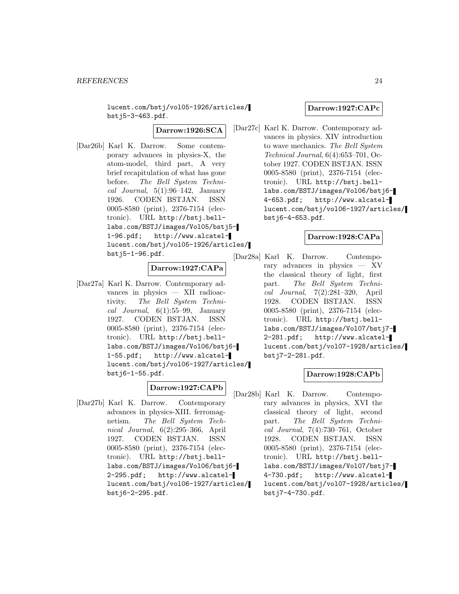lucent.com/bstj/vol05-1926/articles/ bstj5-3-463.pdf.

**Darrow:1926:SCA**

[Dar26b] Karl K. Darrow. Some contemporary advances in physics-X, the atom-model, third part, A very brief recapitulation of what has gone before. The Bell System Technical Journal,  $5(1):96-142$ , January 1926. CODEN BSTJAN. ISSN 0005-8580 (print), 2376-7154 (electronic). URL http://bstj.belllabs.com/BSTJ/images/Vol05/bstj5- 1-96.pdf; http://www.alcatellucent.com/bstj/vol05-1926/articles/ bstj5-1-96.pdf.

# **Darrow:1927:CAPa**

[Dar27a] Karl K. Darrow. Contemporary advances in physics — XII radioactivity. The Bell System Technical Journal,  $6(1):55-99$ , January 1927. CODEN BSTJAN. ISSN 0005-8580 (print), 2376-7154 (electronic). URL http://bstj.belllabs.com/BSTJ/images/Vol06/bstj6- 1-55.pdf; http://www.alcatellucent.com/bstj/vol06-1927/articles/ bstj6-1-55.pdf.

# **Darrow:1927:CAPb**

[Dar27b] Karl K. Darrow. Contemporary advances in physics-XIII. ferromagnetism. The Bell System Technical Journal, 6(2):295–366, April 1927. CODEN BSTJAN. ISSN 0005-8580 (print), 2376-7154 (electronic). URL http://bstj.belllabs.com/BSTJ/images/Vol06/bstj6- 2-295.pdf; http://www.alcatellucent.com/bstj/vol06-1927/articles/ bstj6-2-295.pdf.

#### **Darrow:1927:CAPc**

[Dar27c] Karl K. Darrow. Contemporary advances in physics. XIV introduction to wave mechanics. The Bell System Technical Journal, 6(4):653–701, October 1927. CODEN BSTJAN. ISSN 0005-8580 (print), 2376-7154 (electronic). URL http://bstj.belllabs.com/BSTJ/images/Vol06/bstj6- 4-653.pdf; http://www.alcatellucent.com/bstj/vol06-1927/articles/ bstj6-4-653.pdf.

# **Darrow:1928:CAPa**

[Dar28a] Karl K. Darrow. Contemporary advances in physics — XV the classical theory of light, first part. The Bell System Technical Journal, 7(2):281–320, April 1928. CODEN BSTJAN. ISSN 0005-8580 (print), 2376-7154 (electronic). URL http://bstj.belllabs.com/BSTJ/images/Vol07/bstj7- 2-281.pdf; http://www.alcatellucent.com/bstj/vol07-1928/articles/ bstj7-2-281.pdf.

# **Darrow:1928:CAPb**

[Dar28b] Karl K. Darrow. Contemporary advances in physics, XVI the classical theory of light, second part. The Bell System Technical Journal, 7(4):730–761, October 1928. CODEN BSTJAN. ISSN 0005-8580 (print), 2376-7154 (electronic). URL http://bstj.belllabs.com/BSTJ/images/Vol07/bstj7- 4-730.pdf; http://www.alcatellucent.com/bstj/vol07-1928/articles/ bstj7-4-730.pdf.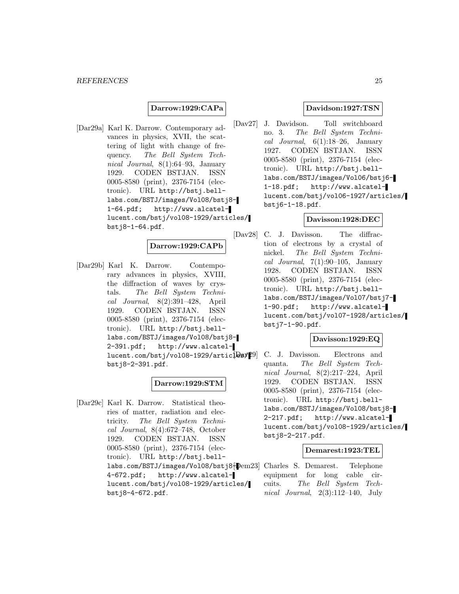#### **Darrow:1929:CAPa**

[Dar29a] Karl K. Darrow. Contemporary advances in physics, XVII, the scattering of light with change of frequency. The Bell System Technical Journal, 8(1):64–93, January 1929. CODEN BSTJAN. ISSN 0005-8580 (print), 2376-7154 (electronic). URL http://bstj.belllabs.com/BSTJ/images/Vol08/bstj8- 1-64.pdf; http://www.alcatellucent.com/bstj/vol08-1929/articles/ bstj8-1-64.pdf.

#### **Darrow:1929:CAPb**

[Dar29b] Karl K. Darrow. Contemporary advances in physics, XVIII, the diffraction of waves by crystals. The Bell System Technical Journal, 8(2):391–428, April 1929. CODEN BSTJAN. ISSN 0005-8580 (print), 2376-7154 (electronic). URL http://bstj.belllabs.com/BSTJ/images/Vol08/bstj8- 2-391.pdf; http://www.alcatel $lucent.com/bstj/vol08-1929/artic[Day29]$ bstj8-2-391.pdf.

# **Darrow:1929:STM**

[Dar29c] Karl K. Darrow. Statistical theories of matter, radiation and electricity. The Bell System Technical Journal, 8(4):672–748, October 1929. CODEN BSTJAN. ISSN 0005-8580 (print), 2376-7154 (electronic). URL http://bstj.belllabs.com/BSTJ/images/Vol08/bstj8{ $\blacktriangleright$ em23] Charles S. Demarest. Telephone 4-672.pdf; http://www.alcatellucent.com/bstj/vol08-1929/articles/ bstj8-4-672.pdf.

#### **Davidson:1927:TSN**

[Dav27] J. Davidson. Toll switchboard no. 3. The Bell System Technical Journal,  $6(1):18-26$ , January 1927. CODEN BSTJAN. ISSN 0005-8580 (print), 2376-7154 (electronic). URL http://bstj.belllabs.com/BSTJ/images/Vol06/bstj6- 1-18.pdf; http://www.alcatellucent.com/bstj/vol06-1927/articles/ bstj6-1-18.pdf.

# **Davisson:1928:DEC**

[Dav28] C. J. Davisson. The diffraction of electrons by a crystal of nickel. The Bell System Technical Journal,  $7(1):90-105$ , January 1928. CODEN BSTJAN. ISSN 0005-8580 (print), 2376-7154 (electronic). URL http://bstj.belllabs.com/BSTJ/images/Vol07/bstj7- 1-90.pdf; http://www.alcatellucent.com/bstj/vol07-1928/articles/ bstj7-1-90.pdf.

#### **Davisson:1929:EQ**

C. J. Davisson. Electrons and quanta. The Bell System Technical Journal, 8(2):217–224, April 1929. CODEN BSTJAN. ISSN 0005-8580 (print), 2376-7154 (electronic). URL http://bstj.belllabs.com/BSTJ/images/Vol08/bstj8- 2-217.pdf; http://www.alcatellucent.com/bstj/vol08-1929/articles/ bstj8-2-217.pdf.

#### **Demarest:1923:TEL**

equipment for long cable circuits. The Bell System Technical Journal, 2(3):112–140, July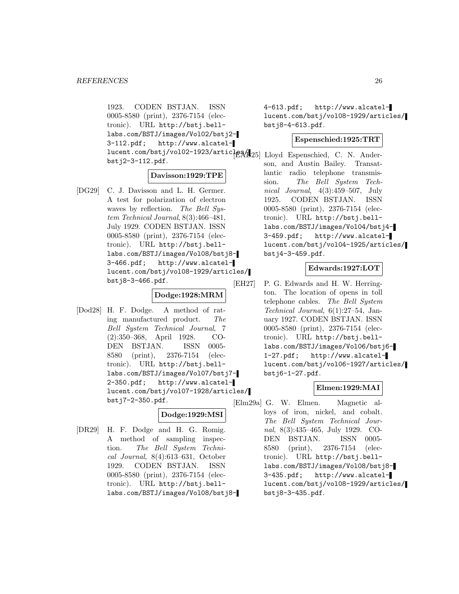1923. CODEN BSTJAN. ISSN 0005-8580 (print), 2376-7154 (electronic). URL http://bstj.belllabs.com/BSTJ/images/Vol02/bstj2- 3-112.pdf; http://www.alcatellucent.com/bstj/vol02-1923/artic<sup>1</sup>e8/1<sub>25</sub>] Lloyd Espenschied, C. N. Anderbstj2-3-112.pdf.

#### **Davisson:1929:TPE**

[DG29] C. J. Davisson and L. H. Germer. A test for polarization of electron waves by reflection. The Bell System Technical Journal, 8(3):466–481, July 1929. CODEN BSTJAN. ISSN 0005-8580 (print), 2376-7154 (electronic). URL http://bstj.belllabs.com/BSTJ/images/Vol08/bstj8- 3-466.pdf; http://www.alcatellucent.com/bstj/vol08-1929/articles/ bstj8-3-466.pdf.

#### **Dodge:1928:MRM**

[Dod28] H. F. Dodge. A method of rating manufactured product. The Bell System Technical Journal, 7 (2):350–368, April 1928. CO-DEN BSTJAN. ISSN 0005- 8580 (print), 2376-7154 (electronic). URL http://bstj.belllabs.com/BSTJ/images/Vol07/bstj7- 2-350.pdf; http://www.alcatellucent.com/bstj/vol07-1928/articles/ bstj7-2-350.pdf.

# **Dodge:1929:MSI**

[DR29] H. F. Dodge and H. G. Romig. A method of sampling inspection. The Bell System Technical Journal, 8(4):613–631, October 1929. CODEN BSTJAN. ISSN 0005-8580 (print), 2376-7154 (electronic). URL http://bstj.belllabs.com/BSTJ/images/Vol08/bstj84-613.pdf; http://www.alcatellucent.com/bstj/vol08-1929/articles/ bstj8-4-613.pdf.

# **Espenschied:1925:TRT**

son, and Austin Bailey. Transatlantic radio telephone transmission. The Bell System Technical Journal, 4(3):459–507, July 1925. CODEN BSTJAN. ISSN 0005-8580 (print), 2376-7154 (electronic). URL http://bstj.belllabs.com/BSTJ/images/Vol04/bstj4- 3-459.pdf; http://www.alcatellucent.com/bstj/vol04-1925/articles/ bstj4-3-459.pdf.

# **Edwards:1927:LOT**

[EH27] P. G. Edwards and H. W. Herrington. The location of opens in toll telephone cables. The Bell System Technical Journal, 6(1):27–54, January 1927. CODEN BSTJAN. ISSN 0005-8580 (print), 2376-7154 (electronic). URL http://bstj.belllabs.com/BSTJ/images/Vol06/bstj6- 1-27.pdf; http://www.alcatellucent.com/bstj/vol06-1927/articles/ bstj6-1-27.pdf.

# **Elmen:1929:MAI**

[Elm29a] G. W. Elmen. Magnetic alloys of iron, nickel, and cobalt. The Bell System Technical Journal, 8(3):435–465, July 1929. CO-DEN BSTJAN. ISSN 0005- 8580 (print), 2376-7154 (electronic). URL http://bstj.belllabs.com/BSTJ/images/Vol08/bstj8- 3-435.pdf; http://www.alcatellucent.com/bstj/vol08-1929/articles/ bstj8-3-435.pdf.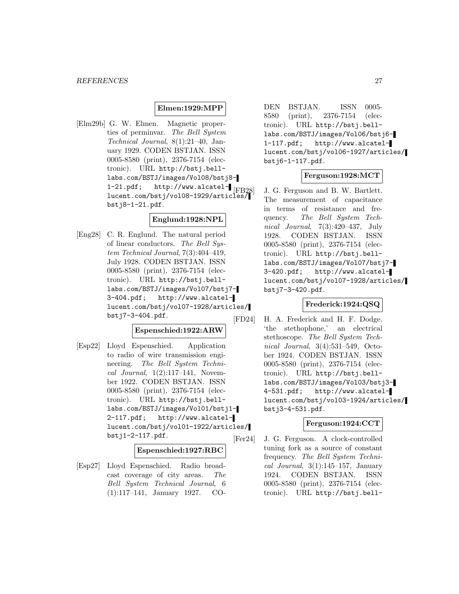# **Elmen:1929:MPP**

[Elm29b] G. W. Elmen. Magnetic properties of perminvar. The Bell System Technical Journal, 8(1):21–40, January 1929. CODEN BSTJAN. ISSN 0005-8580 (print), 2376-7154 (electronic). URL http://bstj.belllabs.com/BSTJ/images/Vol08/bstj8- 1-21.pdf; http://www.alcatel- $_{\text{[FB28]}}$ lucent.com/bstj/vol08-1929/articles/ bstj8-1-21.pdf.

# **Englund:1928:NPL**

[Eng28] C. R. Englund. The natural period of linear conductors. The Bell System Technical Journal, 7(3):404–419, July 1928. CODEN BSTJAN. ISSN 0005-8580 (print), 2376-7154 (electronic). URL http://bstj.belllabs.com/BSTJ/images/Vol07/bstj7- 3-404.pdf; http://www.alcatellucent.com/bstj/vol07-1928/articles/ bstj7-3-404.pdf.

# **Espenschied:1922:ARW**

[Esp22] Lloyd Espenschied. Application to radio of wire transmission engineering. The Bell System Technical Journal,  $1(2):117-141$ , November 1922. CODEN BSTJAN. ISSN 0005-8580 (print), 2376-7154 (electronic). URL http://bstj.belllabs.com/BSTJ/images/Vol01/bstj1- 2-117.pdf; http://www.alcatellucent.com/bstj/vol01-1922/articles/ bstj1-2-117.pdf.

#### **Espenschied:1927:RBC**

[Esp27] Lloyd Espenschied. Radio broadcast coverage of city areas. The Bell System Technical Journal, 6 (1):117–141, January 1927. CO-

DEN BSTJAN. ISSN 0005- 8580 (print), 2376-7154 (electronic). URL http://bstj.belllabs.com/BSTJ/images/Vol06/bstj6- 1-117.pdf; http://www.alcatellucent.com/bstj/vol06-1927/articles/ bstj6-1-117.pdf.

# **Ferguson:1928:MCT**

J. G. Ferguson and B. W. Bartlett. The measurement of capacitance in terms of resistance and frequency. The Bell System Technical Journal, 7(3):420–437, July 1928. CODEN BSTJAN. ISSN 0005-8580 (print), 2376-7154 (electronic). URL http://bstj.belllabs.com/BSTJ/images/Vol07/bstj7- 3-420.pdf; http://www.alcatellucent.com/bstj/vol07-1928/articles/ bstj7-3-420.pdf.

# **Frederick:1924:QSQ**

[FD24] H. A. Frederick and H. F. Dodge. 'the stethophone,' an electrical stethoscope. The Bell System Technical Journal, 3(4):531–549, October 1924. CODEN BSTJAN. ISSN 0005-8580 (print), 2376-7154 (electronic). URL http://bstj.belllabs.com/BSTJ/images/Vol03/bstj3- 4-531.pdf; http://www.alcatellucent.com/bstj/vol03-1924/articles/ bstj3-4-531.pdf.

# **Ferguson:1924:CCT**

[Fer24] J. G. Ferguson. A clock-controlled tuning fork as a source of constant frequency. The Bell System Technical Journal,  $3(1):145-157$ , January 1924. CODEN BSTJAN. ISSN 0005-8580 (print), 2376-7154 (electronic). URL http://bstj.bell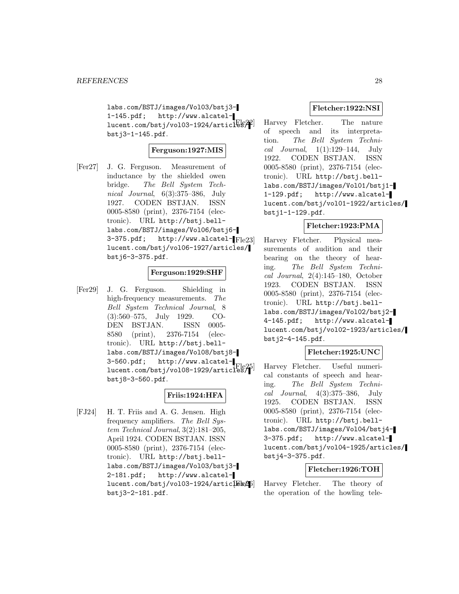labs.com/BSTJ/images/Vol03/bstj3- 1-145.pdf; http://www.alcatel $lucent.com/bstj/vol03-1924/articlbs/4$ bstj3-1-145.pdf.

# **Ferguson:1927:MIS**

[Fer27] J. G. Ferguson. Measurement of inductance by the shielded owen bridge. The Bell System Technical Journal, 6(3):375–386, July 1927. CODEN BSTJAN. ISSN 0005-8580 (print), 2376-7154 (electronic). URL http://bstj.belllabs.com/BSTJ/images/Vol06/bstj6-  $3-375.pdf$ ; http://www.alcatel- $F1e23$ ] lucent.com/bstj/vol06-1927/articles/ bstj6-3-375.pdf.

# **Ferguson:1929:SHF**

[Fer29] J. G. Ferguson. Shielding in high-frequency measurements. The Bell System Technical Journal, 8 (3):560–575, July 1929. CO-DEN BSTJAN. ISSN 0005- 8580 (print), 2376-7154 (electronic). URL http://bstj.belllabs.com/BSTJ/images/Vol08/bstj8- 3-560.pdf; http://www.alcatellucent.com/bstj/vol08-1929/articles/1 bstj8-3-560.pdf.

# **Friis:1924:HFA**

[FJ24] H. T. Friis and A. G. Jensen. High frequency amplifiers. The Bell System Technical Journal, 3(2):181–205, April 1924. CODEN BSTJAN. ISSN 0005-8580 (print), 2376-7154 (electronic). URL http://bstj.belllabs.com/BSTJ/images/Vol03/bstj3- 2-181.pdf; http://www.alcatellucent.com/bstj/vol03-1924/articles25 bstj3-2-181.pdf.

# **Fletcher:1922:NSI**

Harvey Fletcher. The nature of speech and its interpretation. The Bell System Technical Journal,  $1(1):129-144$ , July 1922. CODEN BSTJAN. ISSN 0005-8580 (print), 2376-7154 (electronic). URL http://bstj.belllabs.com/BSTJ/images/Vol01/bstj1- 1-129.pdf; http://www.alcatellucent.com/bstj/vol01-1922/articles/ bstj1-1-129.pdf.

# **Fletcher:1923:PMA**

Harvey Fletcher. Physical measurements of audition and their bearing on the theory of hearing. The Bell System Technical Journal, 2(4):145–180, October 1923. CODEN BSTJAN. ISSN 0005-8580 (print), 2376-7154 (electronic). URL http://bstj.belllabs.com/BSTJ/images/Vol02/bstj2- 4-145.pdf; http://www.alcatellucent.com/bstj/vol02-1923/articles/ bstj2-4-145.pdf.

# **Fletcher:1925:UNC**

Harvey Fletcher. Useful numerical constants of speech and hearing. The Bell System Technical Journal, 4(3):375–386, July 1925. CODEN BSTJAN. ISSN 0005-8580 (print), 2376-7154 (electronic). URL http://bstj.belllabs.com/BSTJ/images/Vol04/bstj4- 3-375.pdf; http://www.alcatellucent.com/bstj/vol04-1925/articles/ bstj4-3-375.pdf.

# **Fletcher:1926:TOH**

Harvey Fletcher. The theory of the operation of the howling tele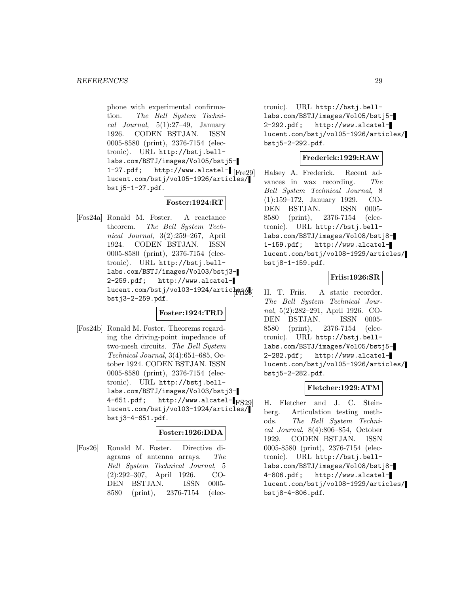phone with experimental confirmation. The Bell System Technical Journal,  $5(1):27-49$ , January 1926. CODEN BSTJAN. ISSN 0005-8580 (print), 2376-7154 (electronic). URL http://bstj.belllabs.com/BSTJ/images/Vol05/bstj5- 1-27.pdf; http://www.alcatel- $\lbrack$  [Fre29] lucent.com/bstj/vol05-1926/articles/ bstj5-1-27.pdf.

# **Foster:1924:RT**

[Fos24a] Ronald M. Foster. A reactance theorem. The Bell System Technical Journal, 3(2):259–267, April 1924. CODEN BSTJAN. ISSN 0005-8580 (print), 2376-7154 (electronic). URL http://bstj.belllabs.com/BSTJ/images/Vol03/bstj3- 2-259.pdf; http://www.alcatellucent.com/bstj/vol03-1924/articles/ bstj3-2-259.pdf.

# **Foster:1924:TRD**

[Fos24b] Ronald M. Foster. Theorems regarding the driving-point impedance of two-mesh circuits. The Bell System Technical Journal, 3(4):651–685, October 1924. CODEN BSTJAN. ISSN 0005-8580 (print), 2376-7154 (electronic). URL http://bstj.belllabs.com/BSTJ/images/Vol03/bstj3- 4-651.pdf; http://www.alcatel- $|FS29|$ lucent.com/bstj/vol03-1924/articles/ bstj3-4-651.pdf.

# **Foster:1926:DDA**

[Fos26] Ronald M. Foster. Directive diagrams of antenna arrays. The Bell System Technical Journal, 5 (2):292–307, April 1926. CO-DEN BSTJAN. ISSN 0005- 8580 (print), 2376-7154 (electronic). URL http://bstj.belllabs.com/BSTJ/images/Vol05/bstj5- 2-292.pdf; http://www.alcatellucent.com/bstj/vol05-1926/articles/ bstj5-2-292.pdf.

# **Frederick:1929:RAW**

Halsey A. Frederick. Recent advances in wax recording. The Bell System Technical Journal, 8 (1):159–172, January 1929. CO-DEN BSTJAN. ISSN 0005- 8580 (print), 2376-7154 (electronic). URL http://bstj.belllabs.com/BSTJ/images/Vol08/bstj8- 1-159.pdf; http://www.alcatellucent.com/bstj/vol08-1929/articles/ bstj8-1-159.pdf.

# **Friis:1926:SR**

H. T. Friis. A static recorder. The Bell System Technical Journal, 5(2):282–291, April 1926. CO-DEN BSTJAN. ISSN 0005- 8580 (print), 2376-7154 (electronic). URL http://bstj.belllabs.com/BSTJ/images/Vol05/bstj5- 2-282.pdf; http://www.alcatellucent.com/bstj/vol05-1926/articles/ bstj5-2-282.pdf.

# **Fletcher:1929:ATM**

H. Fletcher and J. C. Steinberg. Articulation testing methods. The Bell System Technical Journal, 8(4):806–854, October 1929. CODEN BSTJAN. ISSN 0005-8580 (print), 2376-7154 (electronic). URL http://bstj.belllabs.com/BSTJ/images/Vol08/bstj8- 4-806.pdf; http://www.alcatellucent.com/bstj/vol08-1929/articles/ bstj8-4-806.pdf.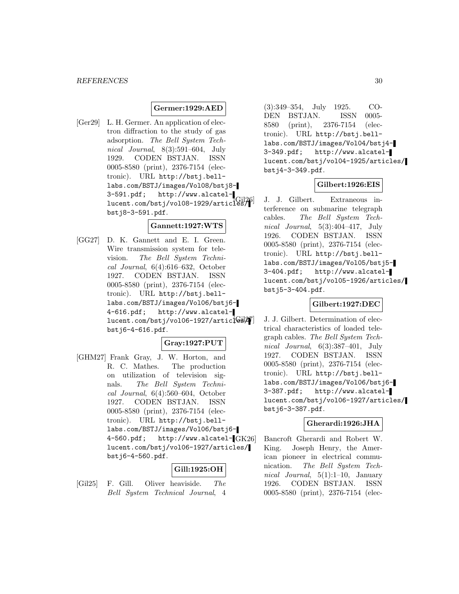# **Germer:1929:AED**

[Ger29] L. H. Germer. An application of electron diffraction to the study of gas adsorption. The Bell System Technical Journal, 8(3):591–604, July 1929. CODEN BSTJAN. ISSN 0005-8580 (print), 2376-7154 (electronic). URL http://bstj.belllabs.com/BSTJ/images/Vol08/bstj8- 3-591.pdf; http://www.alcatellucent.com/bstj/vol08-1929/articles/ bstj8-3-591.pdf.

# **Gannett:1927:WTS**

[GG27] D. K. Gannett and E. I. Green. Wire transmission system for television. The Bell System Technical Journal, 6(4):616–632, October 1927. CODEN BSTJAN. ISSN 0005-8580 (print), 2376-7154 (electronic). URL http://bstj.belllabs.com/BSTJ/images/Vol06/bstj6- 4-616.pdf; http://www.alcatel $lucent.com/bstj/vol06-1927/artic$ bstj6-4-616.pdf.

# **Gray:1927:PUT**

[GHM27] Frank Gray, J. W. Horton, and R. C. Mathes. The production on utilization of television signals. The Bell System Technical Journal, 6(4):560–604, October 1927. CODEN BSTJAN. ISSN 0005-8580 (print), 2376-7154 (electronic). URL http://bstj.belllabs.com/BSTJ/images/Vol06/bstj6-  $4-560.pdf$ ; http://www.alcatel- $GK26$ lucent.com/bstj/vol06-1927/articles/ bstj6-4-560.pdf.

# **Gill:1925:OH**

[Gil25] F. Gill. Oliver heaviside. The Bell System Technical Journal, 4

(3):349–354, July 1925. CO-DEN BSTJAN. ISSN 0005- 8580 (print), 2376-7154 (electronic). URL http://bstj.belllabs.com/BSTJ/images/Vol04/bstj4- 3-349.pdf; http://www.alcatellucent.com/bstj/vol04-1925/articles/ bstj4-3-349.pdf.

# **Gilbert:1926:EIS**

J. J. Gilbert. Extraneous interference on submarine telegraph cables. The Bell System Technical Journal, 5(3):404–417, July 1926. CODEN BSTJAN. ISSN 0005-8580 (print), 2376-7154 (electronic). URL http://bstj.belllabs.com/BSTJ/images/Vol05/bstj5- 3-404.pdf; http://www.alcatellucent.com/bstj/vol05-1926/articles/ bstj5-3-404.pdf.

# **Gilbert:1927:DEC**

J. J. Gilbert. Determination of electrical characteristics of loaded telegraph cables. The Bell System Technical Journal, 6(3):387–401, July 1927. CODEN BSTJAN. ISSN 0005-8580 (print), 2376-7154 (electronic). URL http://bstj.belllabs.com/BSTJ/images/Vol06/bstj6- 3-387.pdf; http://www.alcatellucent.com/bstj/vol06-1927/articles/ bstj6-3-387.pdf.

#### **Gherardi:1926:JHA**

Bancroft Gherardi and Robert W. King. Joseph Henry, the American pioneer in electrical communication. The Bell System Technical Journal, 5(1):1–10, January 1926. CODEN BSTJAN. ISSN 0005-8580 (print), 2376-7154 (elec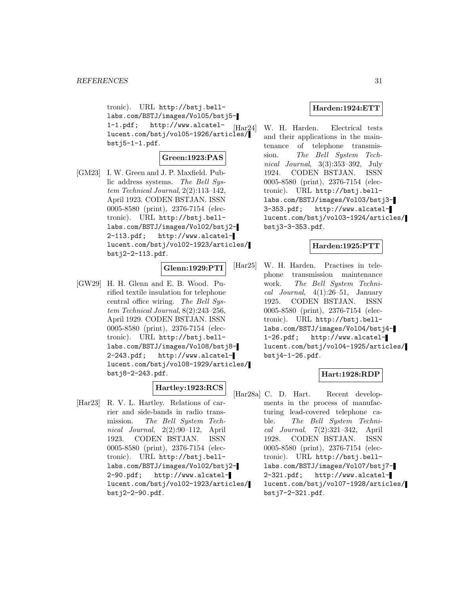tronic). URL http://bstj.belllabs.com/BSTJ/images/Vol05/bstj5- 1-1.pdf; http://www.alcatel- $1-1.p$ di; nttp://www.aicatei-  $[\text{Har24}]$ <br>lucent.com/bstj/vol05-1926/articles/ bstj5-1-1.pdf.

# **Green:1923:PAS**

[GM23] I. W. Green and J. P. Maxfield. Public address systems. The Bell System Technical Journal, 2(2):113–142, April 1923. CODEN BSTJAN. ISSN 0005-8580 (print), 2376-7154 (electronic). URL http://bstj.belllabs.com/BSTJ/images/Vol02/bstj2- 2-113.pdf; http://www.alcatellucent.com/bstj/vol02-1923/articles/ bstj2-2-113.pdf.

**Glenn:1929:PTI**

[GW29] H. H. Glenn and E. B. Wood. Purified textile insulation for telephone central office wiring. The Bell System Technical Journal, 8(2):243–256, April 1929. CODEN BSTJAN. ISSN 0005-8580 (print), 2376-7154 (electronic). URL http://bstj.belllabs.com/BSTJ/images/Vol08/bstj8- 2-243.pdf; http://www.alcatellucent.com/bstj/vol08-1929/articles/ bstj8-2-243.pdf.

# **Hartley:1923:RCS**

[Har23] R. V. L. Hartley. Relations of carrier and side-bands in radio transmission. The Bell System Technical Journal, 2(2):90–112, April 1923. CODEN BSTJAN. ISSN 0005-8580 (print), 2376-7154 (electronic). URL http://bstj.belllabs.com/BSTJ/images/Vol02/bstj2- 2-90.pdf; http://www.alcatellucent.com/bstj/vol02-1923/articles/ bstj2-2-90.pdf.

#### **Harden:1924:ETT**

W. H. Harden. Electrical tests and their applications in the maintenance of telephone transmission. The Bell System Technical Journal, 3(3):353–392, July 1924. CODEN BSTJAN. ISSN 0005-8580 (print), 2376-7154 (electronic). URL http://bstj.belllabs.com/BSTJ/images/Vol03/bstj3- 3-353.pdf; http://www.alcatellucent.com/bstj/vol03-1924/articles/ bstj3-3-353.pdf.

# **Harden:1925:PTT**

[Har25] W. H. Harden. Practises in telephone transmission maintenance work. The Bell System Technical Journal,  $4(1):26-51$ , January 1925. CODEN BSTJAN. ISSN 0005-8580 (print), 2376-7154 (electronic). URL http://bstj.belllabs.com/BSTJ/images/Vol04/bstj4- 1-26.pdf; http://www.alcatellucent.com/bstj/vol04-1925/articles/ bstj4-1-26.pdf.

# **Hart:1928:RDP**

[Har28a] C. D. Hart. Recent developments in the process of manufacturing lead-covered telephone cable. The Bell System Technical Journal, 7(2):321–342, April 1928. CODEN BSTJAN. ISSN 0005-8580 (print), 2376-7154 (electronic). URL http://bstj.belllabs.com/BSTJ/images/Vol07/bstj7- 2-321.pdf; http://www.alcatellucent.com/bstj/vol07-1928/articles/ bstj7-2-321.pdf.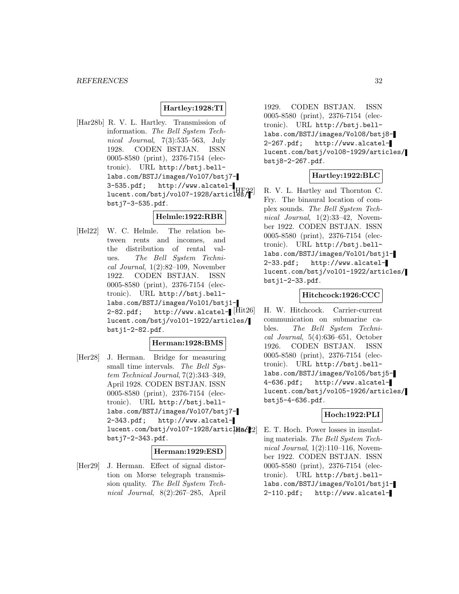# **Hartley:1928:TI**

[Har28b] R. V. L. Hartley. Transmission of information. The Bell System Technical Journal, 7(3):535–563, July 1928. CODEN BSTJAN. ISSN 0005-8580 (print), 2376-7154 (electronic). URL http://bstj.belllabs.com/BSTJ/images/Vol07/bstj7- 3-535.pdf; http://www.alcatellucent.com/bstj/vol07-1928/articles/ bstj7-3-535.pdf.

# **Helmle:1922:RBR**

[Hel22] W. C. Helmle. The relation between rents and incomes, and the distribution of rental values. The Bell System Technical Journal,  $1(2):82-109$ , November 1922. CODEN BSTJAN. ISSN 0005-8580 (print), 2376-7154 (electronic). URL http://bstj.belllabs.com/BSTJ/images/Vol01/bstj1-  $2-82.$ pdf; http://www.alcatel- $\text{[Hit26]}$ lucent.com/bstj/vol01-1922/articles/ bstj1-2-82.pdf.

# **Herman:1928:BMS**

[Her28] J. Herman. Bridge for measuring small time intervals. The Bell System Technical Journal, 7(2):343–349, April 1928. CODEN BSTJAN. ISSN 0005-8580 (print), 2376-7154 (electronic). URL http://bstj.belllabs.com/BSTJ/images/Vol07/bstj7- 2-343.pdf; http://www.alcatel $lucent.com/bstj/vo107-1928/artic $[466/2]$$ bstj7-2-343.pdf.

#### **Herman:1929:ESD**

[Her29] J. Herman. Effect of signal distortion on Morse telegraph transmission quality. The Bell System Technical Journal, 8(2):267–285, April

1929. CODEN BSTJAN. ISSN 0005-8580 (print), 2376-7154 (electronic). URL http://bstj.belllabs.com/BSTJ/images/Vol08/bstj8- 2-267.pdf; http://www.alcatellucent.com/bstj/vol08-1929/articles/ bstj8-2-267.pdf.

# **Hartley:1922:BLC**

R. V. L. Hartley and Thornton C. Fry. The binaural location of complex sounds. The Bell System Technical Journal, 1(2):33–42, November 1922. CODEN BSTJAN. ISSN 0005-8580 (print), 2376-7154 (electronic). URL http://bstj.belllabs.com/BSTJ/images/Vol01/bstj1- 2-33.pdf; http://www.alcatellucent.com/bstj/vol01-1922/articles/ bstj1-2-33.pdf.

# **Hitchcock:1926:CCC**

H. W. Hitchcock. Carrier-current communication on submarine cables. The Bell System Technical Journal, 5(4):636–651, October 1926. CODEN BSTJAN. ISSN 0005-8580 (print), 2376-7154 (electronic). URL http://bstj.belllabs.com/BSTJ/images/Vol05/bstj5- 4-636.pdf; http://www.alcatellucent.com/bstj/vol05-1926/articles/ bstj5-4-636.pdf.

# **Hoch:1922:PLI**

E. T. Hoch. Power losses in insulating materials. The Bell System Technical Journal, 1(2):110–116, November 1922. CODEN BSTJAN. ISSN 0005-8580 (print), 2376-7154 (electronic). URL http://bstj.belllabs.com/BSTJ/images/Vol01/bstj1- 2-110.pdf; http://www.alcatel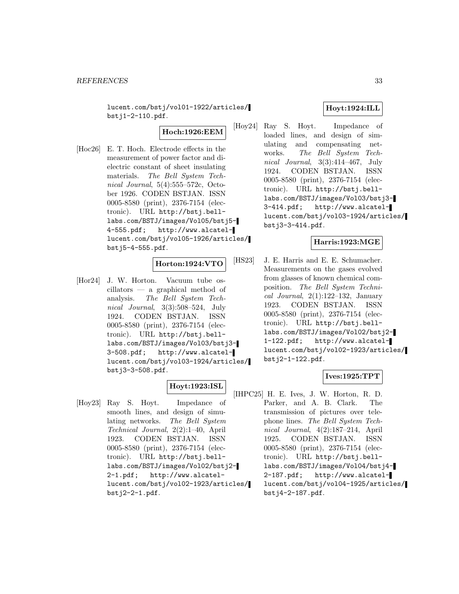lucent.com/bstj/vol01-1922/articles/ bstj1-2-110.pdf.

**Hoch:1926:EEM**

[Hoc26] E. T. Hoch. Electrode effects in the measurement of power factor and dielectric constant of sheet insulating materials. The Bell System Technical Journal, 5(4):555–572c, October 1926. CODEN BSTJAN. ISSN 0005-8580 (print), 2376-7154 (electronic). URL http://bstj.belllabs.com/BSTJ/images/Vol05/bstj5- 4-555.pdf; http://www.alcatellucent.com/bstj/vol05-1926/articles/ bstj5-4-555.pdf.

# **Horton:1924:VTO**

[Hor24] J. W. Horton. Vacuum tube oscillators — a graphical method of analysis. The Bell System Technical Journal, 3(3):508–524, July 1924. CODEN BSTJAN. ISSN 0005-8580 (print), 2376-7154 (electronic). URL http://bstj.belllabs.com/BSTJ/images/Vol03/bstj3- 3-508.pdf; http://www.alcatellucent.com/bstj/vol03-1924/articles/ bstj3-3-508.pdf.

# **Hoyt:1923:ISL**

[Hoy23] Ray S. Hoyt. Impedance of smooth lines, and design of simulating networks. The Bell System Technical Journal, 2(2):1–40, April 1923. CODEN BSTJAN. ISSN 0005-8580 (print), 2376-7154 (electronic). URL http://bstj.belllabs.com/BSTJ/images/Vol02/bstj2- 2-1.pdf; http://www.alcatellucent.com/bstj/vol02-1923/articles/ bstj2-2-1.pdf.

# **Hoyt:1924:ILL**

[Hoy24] Ray S. Hoyt. Impedance of loaded lines, and design of simulating and compensating networks. The Bell System Technical Journal, 3(3):414–467, July 1924. CODEN BSTJAN. ISSN 0005-8580 (print), 2376-7154 (electronic). URL http://bstj.belllabs.com/BSTJ/images/Vol03/bstj3- 3-414.pdf; http://www.alcatellucent.com/bstj/vol03-1924/articles/ bstj3-3-414.pdf.

# **Harris:1923:MGE**

[HS23] J. E. Harris and E. E. Schumacher. Measurements on the gases evolved from glasses of known chemical composition. The Bell System Technical Journal,  $2(1):122-132$ , January 1923. CODEN BSTJAN. ISSN 0005-8580 (print), 2376-7154 (electronic). URL http://bstj.belllabs.com/BSTJ/images/Vol02/bstj2- 1-122.pdf; http://www.alcatellucent.com/bstj/vol02-1923/articles/ bstj2-1-122.pdf.

# **Ives:1925:TPT**

[IHPC25] H. E. Ives, J. W. Horton, R. D. Parker, and A. B. Clark. The transmission of pictures over telephone lines. The Bell System Technical Journal, 4(2):187–214, April 1925. CODEN BSTJAN. ISSN 0005-8580 (print), 2376-7154 (electronic). URL http://bstj.belllabs.com/BSTJ/images/Vol04/bstj4- 2-187.pdf; http://www.alcatellucent.com/bstj/vol04-1925/articles/ bstj4-2-187.pdf.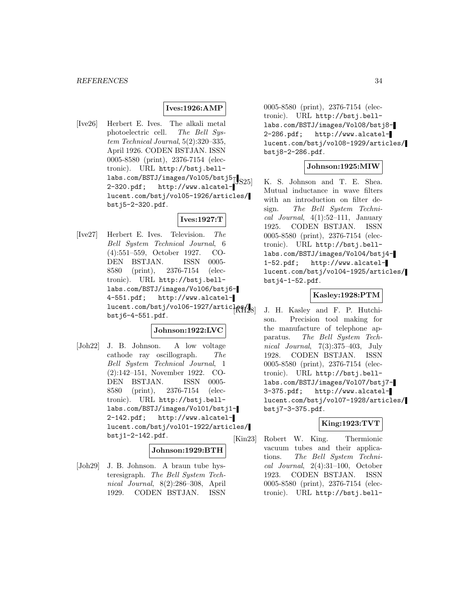# **Ives:1926:AMP**

[Ive26] Herbert E. Ives. The alkali metal photoelectric cell. The Bell System Technical Journal, 5(2):320–335, April 1926. CODEN BSTJAN. ISSN 0005-8580 (print), 2376-7154 (electronic). URL http://bstj.belllabs.com/BSTJ/images/Vol05/bstj5 $_{5}$ 2-320.pdf; http://www.alcatellucent.com/bstj/vol05-1926/articles/ bstj5-2-320.pdf.

# **Ives:1927:T**

[Ive27] Herbert E. Ives. Television. The Bell System Technical Journal, 6 (4):551–559, October 1927. CO-DEN BSTJAN. ISSN 0005- 8580 (print), 2376-7154 (electronic). URL http://bstj.belllabs.com/BSTJ/images/Vol06/bstj6- 4-551.pdf; http://www.alcatellucent.com/bstj/vol06-1927/articles/ bstj6-4-551.pdf.

# **Johnson:1922:LVC**

[Joh22] J. B. Johnson. A low voltage cathode ray oscillograph. The Bell System Technical Journal, 1 (2):142–151, November 1922. CO-DEN BSTJAN. ISSN 0005- 8580 (print), 2376-7154 (electronic). URL http://bstj.belllabs.com/BSTJ/images/Vol01/bstj1- 2-142.pdf; http://www.alcatellucent.com/bstj/vol01-1922/articles/ bstj1-2-142.pdf.

# **Johnson:1929:BTH**

[Joh29] J. B. Johnson. A braun tube hysteresigraph. The Bell System Technical Journal, 8(2):286–308, April 1929. CODEN BSTJAN. ISSN

0005-8580 (print), 2376-7154 (electronic). URL http://bstj.belllabs.com/BSTJ/images/Vol08/bstj8- 2-286.pdf; http://www.alcatellucent.com/bstj/vol08-1929/articles/ bstj8-2-286.pdf.

#### **Johnson:1925:MIW**

K. S. Johnson and T. E. Shea. Mutual inductance in wave filters with an introduction on filter design. The Bell System Technical Journal,  $4(1):52-111$ , January 1925. CODEN BSTJAN. ISSN 0005-8580 (print), 2376-7154 (electronic). URL http://bstj.belllabs.com/BSTJ/images/Vol04/bstj4- 1-52.pdf; http://www.alcatellucent.com/bstj/vol04-1925/articles/ bstj4-1-52.pdf.

# **Kasley:1928:PTM**

J. H. Kasley and F. P. Hutchison. Precision tool making for the manufacture of telephone apparatus. The Bell System Technical Journal, 7(3):375–403, July 1928. CODEN BSTJAN. ISSN 0005-8580 (print), 2376-7154 (electronic). URL http://bstj.belllabs.com/BSTJ/images/Vol07/bstj7- 3-375.pdf; http://www.alcatellucent.com/bstj/vol07-1928/articles/ bstj7-3-375.pdf.

# **King:1923:TVT**

[Kin23] Robert W. King. Thermionic vacuum tubes and their applications. The Bell System Technical Journal, 2(4):31–100, October 1923. CODEN BSTJAN. ISSN 0005-8580 (print), 2376-7154 (electronic). URL http://bstj.bell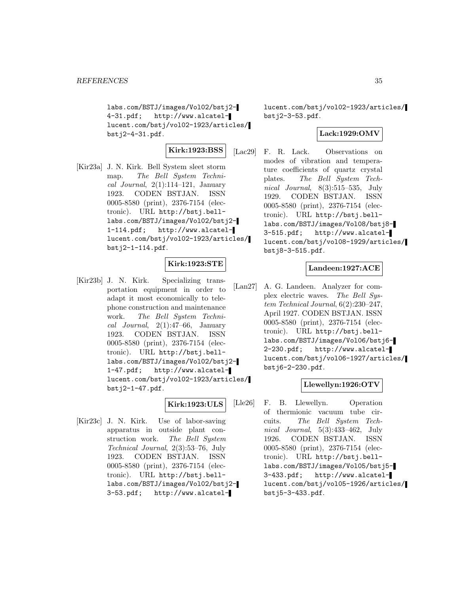labs.com/BSTJ/images/Vol02/bstj2- 4-31.pdf; http://www.alcatellucent.com/bstj/vol02-1923/articles/ bstj2-4-31.pdf.

**Kirk:1923:BSS**

[Kir23a] J. N. Kirk. Bell System sleet storm map. The Bell System Technical Journal,  $2(1):114-121$ , January 1923. CODEN BSTJAN. ISSN 0005-8580 (print), 2376-7154 (electronic). URL http://bstj.belllabs.com/BSTJ/images/Vol02/bstj2- 1-114.pdf; http://www.alcatellucent.com/bstj/vol02-1923/articles/ bstj2-1-114.pdf.

# **Kirk:1923:STE**

[Kir23b] J. N. Kirk. Specializing transportation equipment in order to adapt it most economically to telephone construction and maintenance work. The Bell System Techni $cal$  Journal,  $2(1):47-66$ , January 1923. CODEN BSTJAN. ISSN 0005-8580 (print), 2376-7154 (electronic). URL http://bstj.belllabs.com/BSTJ/images/Vol02/bstj2- 1-47.pdf; http://www.alcatellucent.com/bstj/vol02-1923/articles/ bstj2-1-47.pdf.

# **Kirk:1923:ULS**

[Kir23c] J. N. Kirk. Use of labor-saving apparatus in outside plant construction work. The Bell System Technical Journal, 2(3):53–76, July 1923. CODEN BSTJAN. ISSN 0005-8580 (print), 2376-7154 (electronic). URL http://bstj.belllabs.com/BSTJ/images/Vol02/bstj2- 3-53.pdf; http://www.alcatellucent.com/bstj/vol02-1923/articles/ bstj2-3-53.pdf.

# **Lack:1929:OMV**

[Lac29] F. R. Lack. Observations on modes of vibration and temperature coefficients of quartz crystal plates. The Bell System Technical Journal, 8(3):515–535, July 1929. CODEN BSTJAN. ISSN 0005-8580 (print), 2376-7154 (electronic). URL http://bstj.belllabs.com/BSTJ/images/Vol08/bstj8- 3-515.pdf; http://www.alcatellucent.com/bstj/vol08-1929/articles/ bstj8-3-515.pdf.

# **Landeen:1927:ACE**

[Lan27] A. G. Landeen. Analyzer for complex electric waves. The Bell System Technical Journal, 6(2):230–247, April 1927. CODEN BSTJAN. ISSN 0005-8580 (print), 2376-7154 (electronic). URL http://bstj.belllabs.com/BSTJ/images/Vol06/bstj6- 2-230.pdf; http://www.alcatellucent.com/bstj/vol06-1927/articles/ bstj6-2-230.pdf.

# **Llewellyn:1926:OTV**

[Lle26] F. B. Llewellyn. Operation of thermionic vacuum tube circuits. The Bell System Technical Journal, 5(3):433–462, July 1926. CODEN BSTJAN. ISSN 0005-8580 (print), 2376-7154 (electronic). URL http://bstj.belllabs.com/BSTJ/images/Vol05/bstj5- 3-433.pdf; http://www.alcatellucent.com/bstj/vol05-1926/articles/ bstj5-3-433.pdf.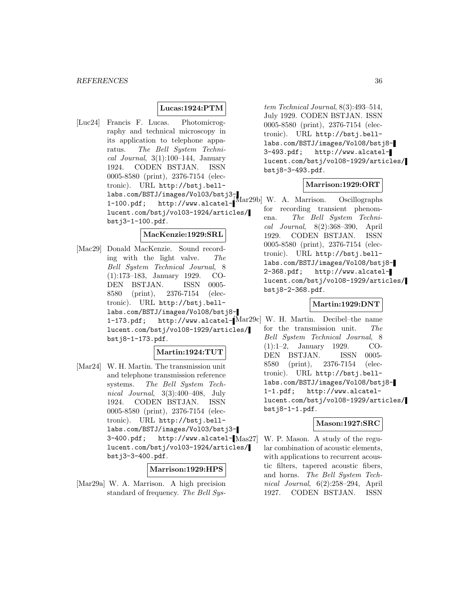# **Lucas:1924:PTM**

[Luc24] Francis F. Lucas. Photomicrography and technical microscopy in its application to telephone apparatus. The Bell System Technical Journal,  $3(1):100-144$ , January 1924. CODEN BSTJAN. ISSN 0005-8580 (print), 2376-7154 (electronic). URL http://bstj.belllabs.com/BSTJ/images/Vol03/bstj3- 1-100.pdf; http://www.alcatel-[Mar29b] W. A. Marrison. Oscillographs lucent.com/bstj/vol03-1924/articles/ bstj3-1-100.pdf.

#### **MacKenzie:1929:SRL**

[Mac29] Donald MacKenzie. Sound recording with the light valve. The Bell System Technical Journal, 8 (1):173–183, January 1929. CO-DEN BSTJAN. ISSN 0005- 8580 (print), 2376-7154 (electronic). URL http://bstj.belllabs.com/BSTJ/images/Vol08/bstj8- 1-173.pdf; http://www.alcatel-[Mar29c] W. H. Martin. Decibel–the name lucent.com/bstj/vol08-1929/articles/ bstj8-1-173.pdf.

#### **Martin:1924:TUT**

[Mar24] W. H. Martin. The transmission unit and telephone transmission reference systems. The Bell System Technical Journal, 3(3):400–408, July 1924. CODEN BSTJAN. ISSN 0005-8580 (print), 2376-7154 (electronic). URL http://bstj.belllabs.com/BSTJ/images/Vol03/bstj3-  $3-400.pdf;$  http://www.alcatel- $Mas27$ lucent.com/bstj/vol03-1924/articles/ bstj3-3-400.pdf.

#### **Marrison:1929:HPS**

[Mar29a] W. A. Marrison. A high precision standard of frequency. The Bell Sys-

tem Technical Journal, 8(3):493–514, July 1929. CODEN BSTJAN. ISSN 0005-8580 (print), 2376-7154 (electronic). URL http://bstj.belllabs.com/BSTJ/images/Vol08/bstj8- 3-493.pdf; http://www.alcatellucent.com/bstj/vol08-1929/articles/ bstj8-3-493.pdf.

# **Marrison:1929:ORT**

for recording transient phenomena. The Bell System Technical Journal, 8(2):368–390, April 1929. CODEN BSTJAN. ISSN 0005-8580 (print), 2376-7154 (electronic). URL http://bstj.belllabs.com/BSTJ/images/Vol08/bstj8- 2-368.pdf; http://www.alcatellucent.com/bstj/vol08-1929/articles/ bstj8-2-368.pdf.

# **Martin:1929:DNT**

for the transmission unit. The Bell System Technical Journal, 8 (1):1–2, January 1929. CO-DEN BSTJAN. ISSN 0005- 8580 (print), 2376-7154 (electronic). URL http://bstj.belllabs.com/BSTJ/images/Vol08/bstj8- 1-1.pdf; http://www.alcatellucent.com/bstj/vol08-1929/articles/ bstj8-1-1.pdf.

#### **Mason:1927:SRC**

W. P. Mason. A study of the regular combination of acoustic elements, with applications to recurrent acoustic filters, tapered acoustic fibers, and horns. The Bell System Technical Journal, 6(2):258–294, April 1927. CODEN BSTJAN. ISSN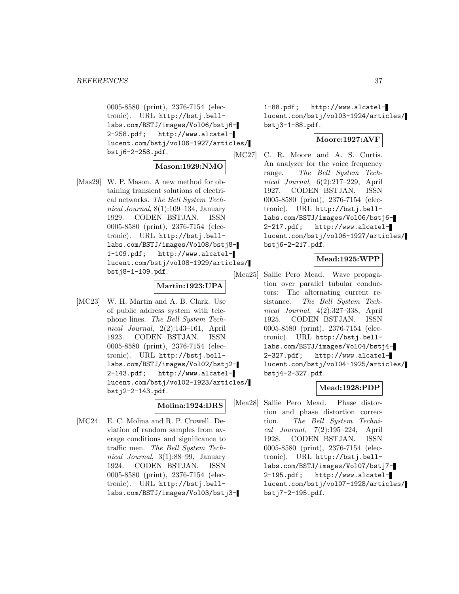0005-8580 (print), 2376-7154 (electronic). URL http://bstj.belllabs.com/BSTJ/images/Vol06/bstj6- 2-258.pdf; http://www.alcatellucent.com/bstj/vol06-1927/articles/ bstj6-2-258.pdf.

#### **Mason:1929:NMO**

[Mas29] W. P. Mason. A new method for obtaining transient solutions of electrical networks. The Bell System Technical Journal, 8(1):109–134, January 1929. CODEN BSTJAN. ISSN 0005-8580 (print), 2376-7154 (electronic). URL http://bstj.belllabs.com/BSTJ/images/Vol08/bstj8- 1-109.pdf; http://www.alcatellucent.com/bstj/vol08-1929/articles/ bstj8-1-109.pdf.

# **Martin:1923:UPA**

[MC23] W. H. Martin and A. B. Clark. Use of public address system with telephone lines. The Bell System Technical Journal, 2(2):143–161, April 1923. CODEN BSTJAN. ISSN 0005-8580 (print), 2376-7154 (electronic). URL http://bstj.belllabs.com/BSTJ/images/Vol02/bstj2- 2-143.pdf; http://www.alcatellucent.com/bstj/vol02-1923/articles/ bstj2-2-143.pdf.

# **Molina:1924:DRS**

[MC24] E. C. Molina and R. P. Crowell. Deviation of random samples from average conditions and significance to traffic men. The Bell System Technical Journal, 3(1):88–99, January 1924. CODEN BSTJAN. ISSN 0005-8580 (print), 2376-7154 (electronic). URL http://bstj.belllabs.com/BSTJ/images/Vol03/bstj31-88.pdf; http://www.alcatellucent.com/bstj/vol03-1924/articles/ bstj3-1-88.pdf.

# **Moore:1927:AVF**

[MC27] C. R. Moore and A. S. Curtis. An analyzer for the voice frequency range. The Bell System Technical Journal, 6(2):217–229, April 1927. CODEN BSTJAN. ISSN 0005-8580 (print), 2376-7154 (electronic). URL http://bstj.belllabs.com/BSTJ/images/Vol06/bstj6- 2-217.pdf; http://www.alcatellucent.com/bstj/vol06-1927/articles/ bstj6-2-217.pdf.

# **Mead:1925:WPP**

[Mea25] Sallie Pero Mead. Wave propagation over parallel tubular conductors: The alternating current resistance. The Bell System Technical Journal, 4(2):327–338, April 1925. CODEN BSTJAN. ISSN 0005-8580 (print), 2376-7154 (electronic). URL http://bstj.belllabs.com/BSTJ/images/Vol04/bstj4- 2-327.pdf; http://www.alcatellucent.com/bstj/vol04-1925/articles/ bstj4-2-327.pdf.

# **Mead:1928:PDP**

[Mea28] Sallie Pero Mead. Phase distortion and phase distortion correction. The Bell System Technical Journal, 7(2):195–224, April 1928. CODEN BSTJAN. ISSN 0005-8580 (print), 2376-7154 (electronic). URL http://bstj.belllabs.com/BSTJ/images/Vol07/bstj7- 2-195.pdf; http://www.alcatellucent.com/bstj/vol07-1928/articles/ bstj7-2-195.pdf.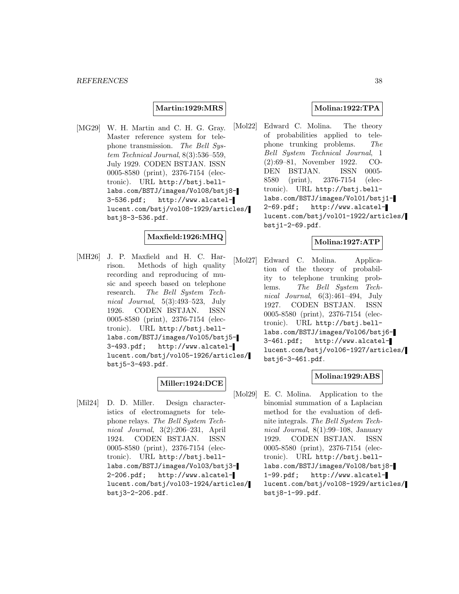# **Martin:1929:MRS**

[MG29] W. H. Martin and C. H. G. Gray. Master reference system for telephone transmission. The Bell System Technical Journal, 8(3):536–559, July 1929. CODEN BSTJAN. ISSN 0005-8580 (print), 2376-7154 (electronic). URL http://bstj.belllabs.com/BSTJ/images/Vol08/bstj8- 3-536.pdf; http://www.alcatellucent.com/bstj/vol08-1929/articles/ bstj8-3-536.pdf.

# **Maxfield:1926:MHQ**

[MH26] J. P. Maxfield and H. C. Harrison. Methods of high quality recording and reproducing of music and speech based on telephone research. The Bell System Technical Journal, 5(3):493–523, July 1926. CODEN BSTJAN. ISSN 0005-8580 (print), 2376-7154 (electronic). URL http://bstj.belllabs.com/BSTJ/images/Vol05/bstj5- 3-493.pdf; http://www.alcatellucent.com/bstj/vol05-1926/articles/ bstj5-3-493.pdf.

# **Miller:1924:DCE**

[Mil24] D. D. Miller. Design characteristics of electromagnets for telephone relays. The Bell System Technical Journal, 3(2):206–231, April 1924. CODEN BSTJAN. ISSN 0005-8580 (print), 2376-7154 (electronic). URL http://bstj.belllabs.com/BSTJ/images/Vol03/bstj3- 2-206.pdf; http://www.alcatellucent.com/bstj/vol03-1924/articles/ bstj3-2-206.pdf.

# **Molina:1922:TPA**

[Mol22] Edward C. Molina. The theory of probabilities applied to telephone trunking problems. The Bell System Technical Journal, 1 (2):69–81, November 1922. CO-DEN BSTJAN. ISSN 0005- 8580 (print), 2376-7154 (electronic). URL http://bstj.belllabs.com/BSTJ/images/Vol01/bstj1- 2-69.pdf; http://www.alcatellucent.com/bstj/vol01-1922/articles/ bstj1-2-69.pdf.

#### **Molina:1927:ATP**

[Mol27] Edward C. Molina. Application of the theory of probability to telephone trunking problems. The Bell System Technical Journal, 6(3):461–494, July 1927. CODEN BSTJAN. ISSN 0005-8580 (print), 2376-7154 (electronic). URL http://bstj.belllabs.com/BSTJ/images/Vol06/bstj6- 3-461.pdf; http://www.alcatellucent.com/bstj/vol06-1927/articles/ bstj6-3-461.pdf.

# **Molina:1929:ABS**

[Mol29] E. C. Molina. Application to the binomial summation of a Laplacian method for the evaluation of definite integrals. The Bell System Technical Journal, 8(1):99–108, January 1929. CODEN BSTJAN. ISSN 0005-8580 (print), 2376-7154 (electronic). URL http://bstj.belllabs.com/BSTJ/images/Vol08/bstj8- 1-99.pdf; http://www.alcatellucent.com/bstj/vol08-1929/articles/ bstj8-1-99.pdf.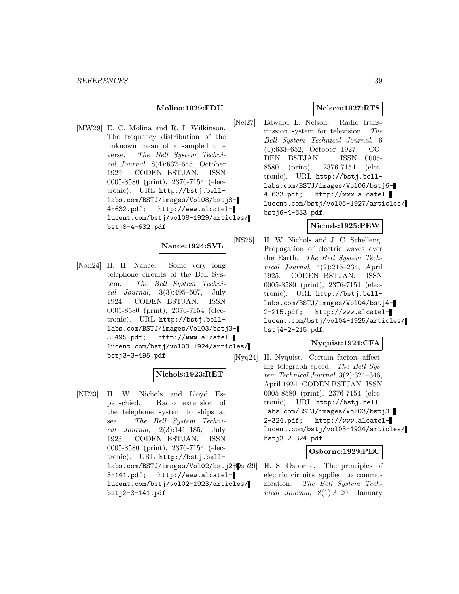# **Molina:1929:FDU**

[MW29] E. C. Molina and R. I. Wilkinson. The frequency distribution of the unknown mean of a sampled universe. The Bell System Technical Journal, 8(4):632–645, October 1929. CODEN BSTJAN. ISSN 0005-8580 (print), 2376-7154 (electronic). URL http://bstj.belllabs.com/BSTJ/images/Vol08/bstj8- 4-632.pdf; http://www.alcatellucent.com/bstj/vol08-1929/articles/ bstj8-4-632.pdf.

#### **Nance:1924:SVL**

[Nan24] H. H. Nance. Some very long telephone circuits of the Bell System. The Bell System Technical Journal, 3(3):495–507, July 1924. CODEN BSTJAN. ISSN 0005-8580 (print), 2376-7154 (electronic). URL http://bstj.belllabs.com/BSTJ/images/Vol03/bstj3- 3-495.pdf; http://www.alcatellucent.com/bstj/vol03-1924/articles/ bstj3-3-495.pdf.

# **Nichols:1923:RET**

[NE23] H. W. Nichols and Lloyd Espenschied. Radio extension of the telephone system to ships at sea. The Bell System Technical Journal,  $2(3):141-185$ , July 1923. CODEN BSTJAN. ISSN 0005-8580 (print), 2376-7154 (electronic). URL http://bstj.belllabs.com/BSTJ/images/Vol02/bstj2 $\lbrace$ 0sb29] 3-141.pdf; http://www.alcatellucent.com/bstj/vol02-1923/articles/ bstj2-3-141.pdf.

#### **Nelson:1927:RTS**

[Nel27] Edward L. Nelson. Radio transmission system for television. The Bell System Technical Journal, 6 (4):633–652, October 1927. CO-DEN BSTJAN. ISSN 0005- 8580 (print), 2376-7154 (electronic). URL http://bstj.belllabs.com/BSTJ/images/Vol06/bstj6- 4-633.pdf; http://www.alcatellucent.com/bstj/vol06-1927/articles/ bstj6-4-633.pdf.

# **Nichols:1925:PEW**

[NS25] H. W. Nichols and J. C. Schelleng. Propagation of electric waves over the Earth. The Bell System Technical Journal, 4(2):215–234, April 1925. CODEN BSTJAN. ISSN 0005-8580 (print), 2376-7154 (electronic). URL http://bstj.belllabs.com/BSTJ/images/Vol04/bstj4- 2-215.pdf; http://www.alcatellucent.com/bstj/vol04-1925/articles/ bstj4-2-215.pdf.

# **Nyquist:1924:CFA**

[Nyq24] H. Nyquist. Certain factors affecting telegraph speed. The Bell System Technical Journal, 3(2):324–346, April 1924. CODEN BSTJAN. ISSN 0005-8580 (print), 2376-7154 (electronic). URL http://bstj.belllabs.com/BSTJ/images/Vol03/bstj3- 2-324.pdf; http://www.alcatellucent.com/bstj/vol03-1924/articles/ bstj3-2-324.pdf.

# **Osborne:1929:PEC**

H. S. Osborne. The principles of electric circuits applied to communication. The Bell System Technical Journal, 8(1):3–20, January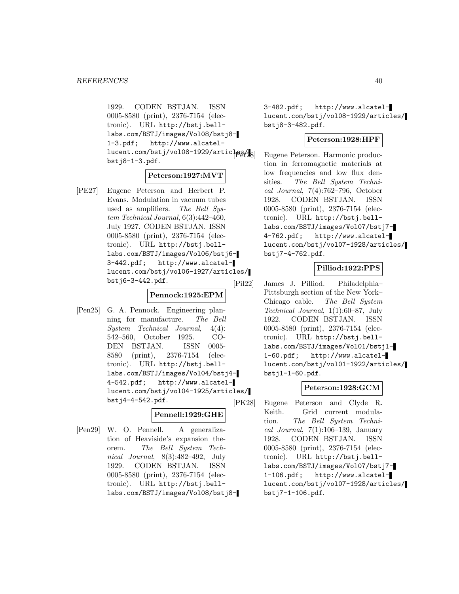1929. CODEN BSTJAN. ISSN 0005-8580 (print), 2376-7154 (electronic). URL http://bstj.belllabs.com/BSTJ/images/Vol08/bstj8- 1-3.pdf; http://www.alcatellucent.com/bstj/vol08-1929/articles/18 bstj8-1-3.pdf.

#### **Peterson:1927:MVT**

[PE27] Eugene Peterson and Herbert P. Evans. Modulation in vacuum tubes used as amplifiers. The Bell System Technical Journal, 6(3):442–460, July 1927. CODEN BSTJAN. ISSN 0005-8580 (print), 2376-7154 (electronic). URL http://bstj.belllabs.com/BSTJ/images/Vol06/bstj6- 3-442.pdf; http://www.alcatellucent.com/bstj/vol06-1927/articles/ bstj6-3-442.pdf.

#### **Pennock:1925:EPM**

[Pen25] G. A. Pennock. Engineering planning for manufacture. The Bell System Technical Journal, 4(4): 542–560, October 1925. CO-DEN BSTJAN. ISSN 0005- 8580 (print), 2376-7154 (electronic). URL http://bstj.belllabs.com/BSTJ/images/Vol04/bstj4- 4-542.pdf; http://www.alcatellucent.com/bstj/vol04-1925/articles/ bstj4-4-542.pdf.

# **Pennell:1929:GHE**

[Pen29] W. O. Pennell. A generalization of Heaviside's expansion theorem. The Bell System Technical Journal, 8(3):482–492, July 1929. CODEN BSTJAN. ISSN 0005-8580 (print), 2376-7154 (electronic). URL http://bstj.belllabs.com/BSTJ/images/Vol08/bstj83-482.pdf; http://www.alcatellucent.com/bstj/vol08-1929/articles/ bstj8-3-482.pdf.

#### **Peterson:1928:HPF**

Eugene Peterson. Harmonic production in ferromagnetic materials at low frequencies and low flux densities. The Bell System Technical Journal, 7(4):762–796, October 1928. CODEN BSTJAN. ISSN 0005-8580 (print), 2376-7154 (electronic). URL http://bstj.belllabs.com/BSTJ/images/Vol07/bstj7- 4-762.pdf; http://www.alcatellucent.com/bstj/vol07-1928/articles/ bstj7-4-762.pdf.

# **Pilliod:1922:PPS**

[Pil22] James J. Pilliod. Philadelphia– Pittsburgh section of the New York– Chicago cable. The Bell System Technical Journal, 1(1):60–87, July 1922. CODEN BSTJAN. ISSN 0005-8580 (print), 2376-7154 (electronic). URL http://bstj.belllabs.com/BSTJ/images/Vol01/bstj1- 1-60.pdf; http://www.alcatellucent.com/bstj/vol01-1922/articles/ bstj1-1-60.pdf.

# **Peterson:1928:GCM**

[PK28] Eugene Peterson and Clyde R. Keith. Grid current modulation. The Bell System Technical Journal,  $7(1):106-139$ , January 1928. CODEN BSTJAN. ISSN 0005-8580 (print), 2376-7154 (electronic). URL http://bstj.belllabs.com/BSTJ/images/Vol07/bstj7- 1-106.pdf; http://www.alcatellucent.com/bstj/vol07-1928/articles/ bstj7-1-106.pdf.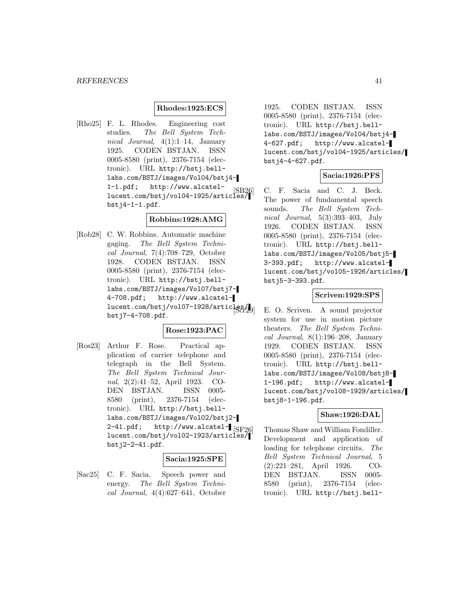# **Rhodes:1925:ECS**

[Rho25] F. L. Rhodes. Engineering cost studies. The Bell System Technical Journal, 4(1):1–14, January 1925. CODEN BSTJAN. ISSN 0005-8580 (print), 2376-7154 (electronic). URL http://bstj.belllabs.com/BSTJ/images/Vol04/bstj4- 1-1.pdf; http://www.alcatel-1 1. pul, mccp.//www.alcatel [SB26]<br>[SB26] lucent.com/bstj/vol04-1925/articles bstj4-1-1.pdf.

# **Robbins:1928:AMG**

[Rob28] C. W. Robbins. Automatic machine gaging. The Bell System Technical Journal, 7(4):708–729, October 1928. CODEN BSTJAN. ISSN 0005-8580 (print), 2376-7154 (electronic). URL http://bstj.belllabs.com/BSTJ/images/Vol07/bstj7- 4-708.pdf; http://www.alcatellucent.com/bstj/vol07-1928/articles/ bstj7-4-708.pdf.

# **Rose:1923:PAC**

[Ros23] Arthur F. Rose. Practical application of carrier telephone and telegraph in the Bell System. The Bell System Technical Journal, 2(2):41–52, April 1923. CO-DEN BSTJAN. ISSN 0005- 8580 (print), 2376-7154 (electronic). URL http://bstj.belllabs.com/BSTJ/images/Vol02/bstj2- 2-41.pdf; http://www.alcatel- $\sqrt{\text{SF26}}$ lucent.com/bstj/vol02-1923/articles/ bstj2-2-41.pdf.

#### **Sacia:1925:SPE**

[Sac25] C. F. Sacia. Speech power and energy. The Bell System Technical Journal, 4(4):627–641, October 1925. CODEN BSTJAN. ISSN 0005-8580 (print), 2376-7154 (electronic). URL http://bstj.belllabs.com/BSTJ/images/Vol04/bstj4- 4-627.pdf; http://www.alcatellucent.com/bstj/vol04-1925/articles/ bstj4-4-627.pdf.

# **Sacia:1926:PFS**

C. F. Sacia and C. J. Beck. The power of fundamental speech sounds. The Bell System Technical Journal, 5(3):393–403, July 1926. CODEN BSTJAN. ISSN 0005-8580 (print), 2376-7154 (electronic). URL http://bstj.belllabs.com/BSTJ/images/Vol05/bstj5- 3-393.pdf; http://www.alcatellucent.com/bstj/vol05-1926/articles/ bstj5-3-393.pdf.

# **Scriven:1929:SPS**

E. O. Scriven. A sound projector system for use in motion picture theaters. The Bell System Technical Journal, 8(1):196–208, January 1929. CODEN BSTJAN. ISSN 0005-8580 (print), 2376-7154 (electronic). URL http://bstj.belllabs.com/BSTJ/images/Vol08/bstj8- 1-196.pdf; http://www.alcatellucent.com/bstj/vol08-1929/articles/ bstj8-1-196.pdf.

# **Shaw:1926:DAL**

Thomas Shaw and William Fondiller. Development and application of loading for telephone circuits. The Bell System Technical Journal, 5 (2):221–281, April 1926. CO-DEN BSTJAN. ISSN 0005- 8580 (print), 2376-7154 (electronic). URL http://bstj.bell-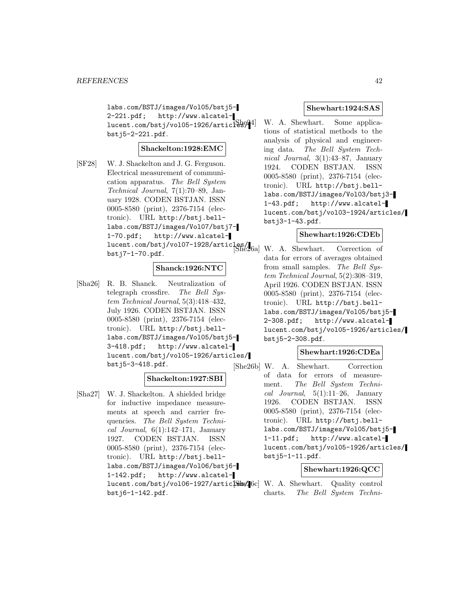labs.com/BSTJ/images/Vol05/bstj5- 2-221.pdf; http://www.alcatellucent.com/bstj/vol05-1926/articles<sup>944</sup> bstj5-2-221.pdf.

# **Shackelton:1928:EMC**

[SF28] W. J. Shackelton and J. G. Ferguson. Electrical measurement of communication apparatus. The Bell System Technical Journal, 7(1):70–89, January 1928. CODEN BSTJAN. ISSN 0005-8580 (print), 2376-7154 (electronic). URL http://bstj.belllabs.com/BSTJ/images/Vol07/bstj7- 1-70.pdf; http://www.alcatellucent.com/bstj/vol07-1928/articles/ [She26a] W. A. Shewhart. Correction of bstj7-1-70.pdf.

# **Shanck:1926:NTC**

[Sha26] R. B. Shanck. Neutralization of telegraph crossfire. The Bell System Technical Journal, 5(3):418–432, July 1926. CODEN BSTJAN. ISSN 0005-8580 (print), 2376-7154 (electronic). URL http://bstj.belllabs.com/BSTJ/images/Vol05/bstj5- 3-418.pdf; http://www.alcatellucent.com/bstj/vol05-1926/articles/ bstj5-3-418.pdf.

# **Shackelton:1927:SBI**

[Sha27] W. J. Shackelton. A shielded bridge for inductive impedance measurements at speech and carrier frequencies. The Bell System Technical Journal,  $6(1):142-171$ , January 1927. CODEN BSTJAN. ISSN 0005-8580 (print), 2376-7154 (electronic). URL http://bstj.belllabs.com/BSTJ/images/Vol06/bstj6- 1-142.pdf; http://www.alcatellucent.com/bstj/vol06-1927/artic $[\S$ s $[6c]$  W. A. Shewhart. Quality control bstj6-1-142.pdf.

#### **Shewhart:1924:SAS**

W. A. Shewhart. Some applications of statistical methods to the analysis of physical and engineering data. The Bell System Technical Journal, 3(1):43–87, January 1924. CODEN BSTJAN. ISSN 0005-8580 (print), 2376-7154 (electronic). URL http://bstj.belllabs.com/BSTJ/images/Vol03/bstj3- 1-43.pdf; http://www.alcatellucent.com/bstj/vol03-1924/articles/ bstj3-1-43.pdf.

# **Shewhart:1926:CDEb**

data for errors of averages obtained from small samples. The Bell System Technical Journal, 5(2):308–319, April 1926. CODEN BSTJAN. ISSN 0005-8580 (print), 2376-7154 (electronic). URL http://bstj.belllabs.com/BSTJ/images/Vol05/bstj5- 2-308.pdf; http://www.alcatellucent.com/bstj/vol05-1926/articles/ bstj5-2-308.pdf.

# **Shewhart:1926:CDEa**

[She26b] W. A. Shewhart. Correction of data for errors of measurement. The Bell System Technical Journal,  $5(1):11-26$ , January 1926. CODEN BSTJAN. ISSN 0005-8580 (print), 2376-7154 (electronic). URL http://bstj.belllabs.com/BSTJ/images/Vol05/bstj5- 1-11.pdf; http://www.alcatellucent.com/bstj/vol05-1926/articles/ bstj5-1-11.pdf.

# **Shewhart:1926:QCC**

charts. The Bell System Techni-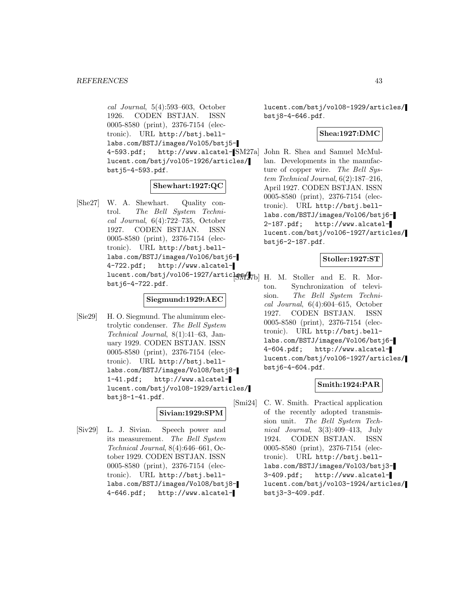cal Journal, 5(4):593–603, October 1926. CODEN BSTJAN. ISSN 0005-8580 (print), 2376-7154 (electronic). URL http://bstj.belllabs.com/BSTJ/images/Vol05/bstj5- 4-593.pdf; http://www.alcatel-[SM27a] John R. Shea and Samuel McMullucent.com/bstj/vol05-1926/articles/ bstj5-4-593.pdf.

# **Shewhart:1927:QC**

[She27] W. A. Shewhart. Quality control. The Bell System Technical Journal, 6(4):722–735, October 1927. CODEN BSTJAN. ISSN 0005-8580 (print), 2376-7154 (electronic). URL http://bstj.belllabs.com/BSTJ/images/Vol06/bstj6- 4-722.pdf; http://www.alcatellucent.com/bstj/vol06-1927/articles of  $\frac{1}{2}$ b] H. M. Stoller and E. R. Morbstj6-4-722.pdf.

# **Siegmund:1929:AEC**

[Sie29] H. O. Siegmund. The aluminum electrolytic condenser. The Bell System Technical Journal, 8(1):41–63, January 1929. CODEN BSTJAN. ISSN 0005-8580 (print), 2376-7154 (electronic). URL http://bstj.belllabs.com/BSTJ/images/Vol08/bstj8- 1-41.pdf; http://www.alcatellucent.com/bstj/vol08-1929/articles/ bstj8-1-41.pdf.

# **Sivian:1929:SPM**

[Siv29] L. J. Sivian. Speech power and its measurement. The Bell System Technical Journal, 8(4):646–661, October 1929. CODEN BSTJAN. ISSN 0005-8580 (print), 2376-7154 (electronic). URL http://bstj.belllabs.com/BSTJ/images/Vol08/bstj8- 4-646.pdf; http://www.alcatellucent.com/bstj/vol08-1929/articles/ bstj8-4-646.pdf.

# **Shea:1927:DMC**

lan. Developments in the manufacture of copper wire. The Bell System Technical Journal, 6(2):187–216, April 1927. CODEN BSTJAN. ISSN 0005-8580 (print), 2376-7154 (electronic). URL http://bstj.belllabs.com/BSTJ/images/Vol06/bstj6- 2-187.pdf; http://www.alcatellucent.com/bstj/vol06-1927/articles/ bstj6-2-187.pdf.

# **Stoller:1927:ST**

ton. Synchronization of television. The Bell System Technical Journal, 6(4):604–615, October 1927. CODEN BSTJAN. ISSN 0005-8580 (print), 2376-7154 (electronic). URL http://bstj.belllabs.com/BSTJ/images/Vol06/bstj6- 4-604.pdf; http://www.alcatellucent.com/bstj/vol06-1927/articles/ bstj6-4-604.pdf.

# **Smith:1924:PAR**

[Smi24] C. W. Smith. Practical application of the recently adopted transmission unit. The Bell System Technical Journal, 3(3):409–413, July 1924. CODEN BSTJAN. ISSN 0005-8580 (print), 2376-7154 (electronic). URL http://bstj.belllabs.com/BSTJ/images/Vol03/bstj3- 3-409.pdf; http://www.alcatellucent.com/bstj/vol03-1924/articles/ bstj3-3-409.pdf.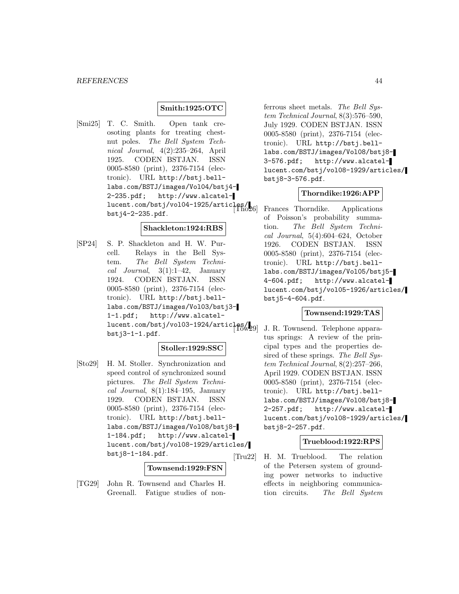# **Smith:1925:OTC**

[Smi25] T. C. Smith. Open tank creosoting plants for treating chestnut poles. The Bell System Technical Journal, 4(2):235–264, April 1925. CODEN BSTJAN. ISSN 0005-8580 (print), 2376-7154 (electronic). URL http://bstj.belllabs.com/BSTJ/images/Vol04/bstj4- 2-235.pdf; http://www.alcatellucent.com/bstj/vol04-1925/articles/ bstj4-2-235.pdf.

#### **Shackleton:1924:RBS**

[SP24] S. P. Shackleton and H. W. Purcell. Relays in the Bell System. The Bell System Technical Journal,  $3(1):1-42$ , January 1924. CODEN BSTJAN. ISSN 0005-8580 (print), 2376-7154 (electronic). URL http://bstj.belllabs.com/BSTJ/images/Vol03/bstj3- 1-1.pdf; http://www.alcatel $l = \frac{1}{\text{1} \cdot \text{1} \cdot \text{1}}$ <br>lucent.com/bstj/vol03-1924/articles/ $\frac{1}{\text{100}}$ bstj3-1-1.pdf.

# **Stoller:1929:SSC**

[Sto29] H. M. Stoller. Synchronization and speed control of synchronized sound pictures. The Bell System Technical Journal,  $8(1):184-195$ , January 1929. CODEN BSTJAN. ISSN 0005-8580 (print), 2376-7154 (electronic). URL http://bstj.belllabs.com/BSTJ/images/Vol08/bstj8- 1-184.pdf; http://www.alcatellucent.com/bstj/vol08-1929/articles/ bstj8-1-184.pdf.

# **Townsend:1929:FSN**

[TG29] John R. Townsend and Charles H. Greenall. Fatigue studies of nonferrous sheet metals. The Bell System Technical Journal, 8(3):576–590, July 1929. CODEN BSTJAN. ISSN 0005-8580 (print), 2376-7154 (electronic). URL http://bstj.belllabs.com/BSTJ/images/Vol08/bstj8- 3-576.pdf; http://www.alcatellucent.com/bstj/vol08-1929/articles/ bstj8-3-576.pdf.

# **Thorndike:1926:APP**

Frances Thorndike. Applications of Poisson's probability summation. The Bell System Technical Journal, 5(4):604–624, October 1926. CODEN BSTJAN. ISSN 0005-8580 (print), 2376-7154 (electronic). URL http://bstj.belllabs.com/BSTJ/images/Vol05/bstj5- 4-604.pdf; http://www.alcatellucent.com/bstj/vol05-1926/articles/ bstj5-4-604.pdf.

#### **Townsend:1929:TAS**

J. R. Townsend. Telephone apparatus springs: A review of the principal types and the properties desired of these springs. The Bell System Technical Journal, 8(2):257–266, April 1929. CODEN BSTJAN. ISSN 0005-8580 (print), 2376-7154 (electronic). URL http://bstj.belllabs.com/BSTJ/images/Vol08/bstj8- 2-257.pdf; http://www.alcatellucent.com/bstj/vol08-1929/articles/ bstj8-2-257.pdf.

# **Trueblood:1922:RPS**

[Tru22] H. M. Trueblood. The relation of the Petersen system of grounding power networks to inductive effects in neighboring communication circuits. The Bell System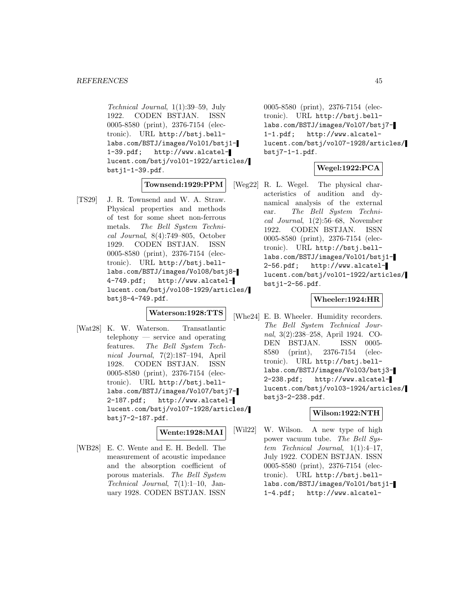Technical Journal, 1(1):39–59, July 1922. CODEN BSTJAN. ISSN 0005-8580 (print), 2376-7154 (electronic). URL http://bstj.belllabs.com/BSTJ/images/Vol01/bstj1- 1-39.pdf; http://www.alcatellucent.com/bstj/vol01-1922/articles/ bstj1-1-39.pdf.

#### **Townsend:1929:PPM**

[TS29] J. R. Townsend and W. A. Straw. Physical properties and methods of test for some sheet non-ferrous metals. The Bell System Technical Journal, 8(4):749–805, October 1929. CODEN BSTJAN. ISSN 0005-8580 (print), 2376-7154 (electronic). URL http://bstj.belllabs.com/BSTJ/images/Vol08/bstj8- 4-749.pdf; http://www.alcatellucent.com/bstj/vol08-1929/articles/ bstj8-4-749.pdf.

# **Waterson:1928:TTS**

[Wat28] K. W. Waterson. Transatlantic telephony — service and operating features. The Bell System Technical Journal, 7(2):187–194, April 1928. CODEN BSTJAN. ISSN 0005-8580 (print), 2376-7154 (electronic). URL http://bstj.belllabs.com/BSTJ/images/Vol07/bstj7- 2-187.pdf; http://www.alcatellucent.com/bstj/vol07-1928/articles/ bstj7-2-187.pdf.

# **Wente:1928:MAI**

[WB28] E. C. Wente and E. H. Bedell. The measurement of acoustic impedance and the absorption coefficient of porous materials. The Bell System Technical Journal, 7(1):1–10, January 1928. CODEN BSTJAN. ISSN

0005-8580 (print), 2376-7154 (electronic). URL http://bstj.belllabs.com/BSTJ/images/Vol07/bstj7- 1-1.pdf; http://www.alcatellucent.com/bstj/vol07-1928/articles/ bstj7-1-1.pdf.

# **Wegel:1922:PCA**

[Weg22] R. L. Wegel. The physical characteristics of audition and dynamical analysis of the external ear. The Bell System Technical Journal, 1(2):56–68, November 1922. CODEN BSTJAN. ISSN 0005-8580 (print), 2376-7154 (electronic). URL http://bstj.belllabs.com/BSTJ/images/Vol01/bstj1- 2-56.pdf; http://www.alcatellucent.com/bstj/vol01-1922/articles/ bstj1-2-56.pdf.

# **Wheeler:1924:HR**

[Whe24] E. B. Wheeler. Humidity recorders. The Bell System Technical Journal, 3(2):238–258, April 1924. CO-DEN BSTJAN. ISSN 0005- 8580 (print), 2376-7154 (electronic). URL http://bstj.belllabs.com/BSTJ/images/Vol03/bstj3- 2-238.pdf; http://www.alcatellucent.com/bstj/vol03-1924/articles/ bstj3-2-238.pdf.

# **Wilson:1922:NTH**

[Wil22] W. Wilson. A new type of high power vacuum tube. The Bell System Technical Journal, 1(1):4–17, July 1922. CODEN BSTJAN. ISSN 0005-8580 (print), 2376-7154 (electronic). URL http://bstj.belllabs.com/BSTJ/images/Vol01/bstj1- 1-4.pdf; http://www.alcatel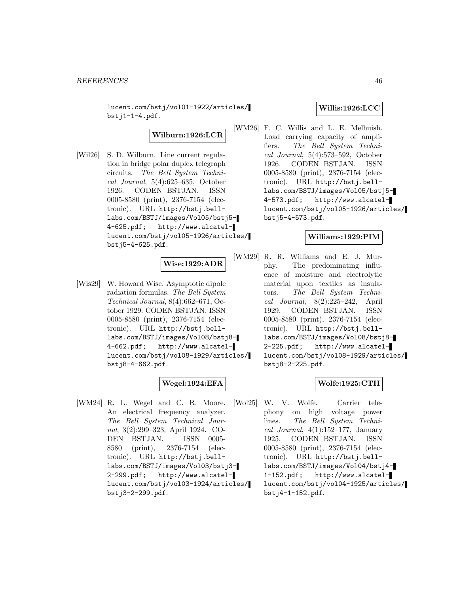lucent.com/bstj/vol01-1922/articles/  $bstj1-1-4.pdf.$ 

**Wilburn:1926:LCR**

[Wil26] S. D. Wilburn. Line current regulation in bridge polar duplex telegraph circuits. The Bell System Technical Journal, 5(4):625–635, October 1926. CODEN BSTJAN. ISSN 0005-8580 (print), 2376-7154 (electronic). URL http://bstj.belllabs.com/BSTJ/images/Vol05/bstj5- 4-625.pdf; http://www.alcatellucent.com/bstj/vol05-1926/articles/ bstj5-4-625.pdf.

# **Wise:1929:ADR**

[Wis29] W. Howard Wise. Asymptotic dipole radiation formulas. The Bell System Technical Journal, 8(4):662–671, October 1929. CODEN BSTJAN. ISSN 0005-8580 (print), 2376-7154 (electronic). URL http://bstj.belllabs.com/BSTJ/images/Vol08/bstj8- 4-662.pdf; http://www.alcatellucent.com/bstj/vol08-1929/articles/ bstj8-4-662.pdf.

# **Wegel:1924:EFA**

[WM24] R. L. Wegel and C. R. Moore. An electrical frequency analyzer. The Bell System Technical Journal, 3(2):299–323, April 1924. CO-DEN BSTJAN. ISSN 0005- 8580 (print), 2376-7154 (electronic). URL http://bstj.belllabs.com/BSTJ/images/Vol03/bstj3- 2-299.pdf; http://www.alcatellucent.com/bstj/vol03-1924/articles/ bstj3-2-299.pdf.

# **Willis:1926:LCC**

[WM26] F. C. Willis and L. E. Melhuish. Load carrying capacity of amplifiers. The Bell System Technical Journal, 5(4):573–592, October 1926. CODEN BSTJAN. ISSN 0005-8580 (print), 2376-7154 (electronic). URL http://bstj.belllabs.com/BSTJ/images/Vol05/bstj5- 4-573.pdf; http://www.alcatellucent.com/bstj/vol05-1926/articles/ bstj5-4-573.pdf.

# **Williams:1929:PIM**

[WM29] R. R. Williams and E. J. Murphy. The predominating influence of moisture and electrolytic material upon textiles as insulators. The Bell System Technical Journal, 8(2):225–242, April 1929. CODEN BSTJAN. ISSN 0005-8580 (print), 2376-7154 (electronic). URL http://bstj.belllabs.com/BSTJ/images/Vol08/bstj8- 2-225.pdf; http://www.alcatellucent.com/bstj/vol08-1929/articles/ bstj8-2-225.pdf.

# **Wolfe:1925:CTH**

[Wol25] W. V. Wolfe. Carrier telephony on high voltage power lines. The Bell System Technical Journal,  $4(1):152-177$ , January 1925. CODEN BSTJAN. ISSN 0005-8580 (print), 2376-7154 (electronic). URL http://bstj.belllabs.com/BSTJ/images/Vol04/bstj4- 1-152.pdf; http://www.alcatellucent.com/bstj/vol04-1925/articles/ bstj4-1-152.pdf.